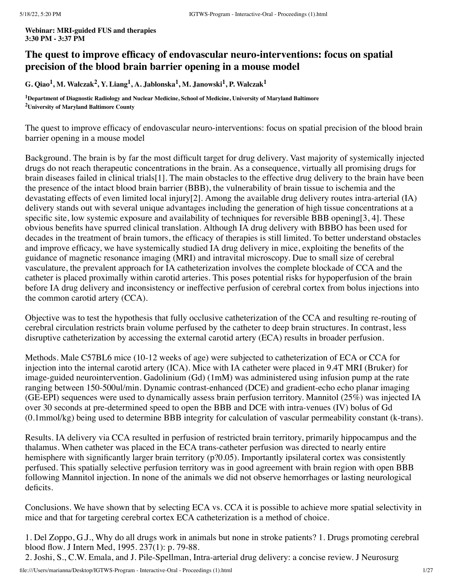**Webinar: MRI-guided FUS and therapies 3:30 PM - 3:37 PM**

# **The quest to improve efficacy of endovascular neuro-interventions: focus on spatial precision of the blood brain barrier opening in a mouse model**

G. Qiao $^1$ , M. Walczak $^2$ , Y. Liang $^1$ , A. Jablonska $^1$ , M. Janowski $^1$ , P. Walczak $^1$ 

**<sup>1</sup>Department of Diagnostic Radiology and Nuclear Medicine, School of Medicine, University of Maryland Baltimore <sup>2</sup>University of Maryland Baltimore County**

The quest to improve efficacy of endovascular neuro-interventions: focus on spatial precision of the blood brain barrier opening in a mouse model

Background. The brain is by far the most difficult target for drug delivery. Vast majority of systemically injected drugs do not reach therapeutic concentrations in the brain. As a consequence, virtually all promising drugs for brain diseases failed in clinical trials[1]. The main obstacles to the effective drug delivery to the brain have been the presence of the intact blood brain barrier (BBB), the vulnerability of brain tissue to ischemia and the devastating effects of even limited local injury[2]. Among the available drug delivery routes intra-arterial (IA) delivery stands out with several unique advantages including the generation of high tissue concentrations at a specific site, low systemic exposure and availability of techniques for reversible BBB opening[3, 4]. These obvious benefits have spurred clinical translation. Although IA drug delivery with BBBO has been used for decades in the treatment of brain tumors, the efficacy of therapies is still limited. To better understand obstacles and improve efficacy, we have systemically studied IA drug delivery in mice, exploiting the benefits of the guidance of magnetic resonance imaging (MRI) and intravital microscopy. Due to small size of cerebral vasculature, the prevalent approach for IA catheterization involves the complete blockade of CCA and the catheter is placed proximally within carotid arteries. This poses potential risks for hypoperfusion of the brain before IA drug delivery and inconsistency or ineffective perfusion of cerebral cortex from bolus injections into the common carotid artery (CCA).

Objective was to test the hypothesis that fully occlusive catheterization of the CCA and resulting re-routing of cerebral circulation restricts brain volume perfused by the catheter to deep brain structures. In contrast, less disruptive catheterization by accessing the external carotid artery (ECA) results in broader perfusion.

Methods. Male C57BL6 mice (10-12 weeks of age) were subjected to catheterization of ECA or CCA for injection into the internal carotid artery (ICA). Mice with IA catheter were placed in 9.4T MRI (Bruker) for image-guided neurointervention. Gadolinium (Gd) (1mM) was administered using infusion pump at the rate ranging between 150-500ul/min. Dynamic contrast-enhanced (DCE) and gradient-echo echo planar imaging (GE-EPI) sequences were used to dynamically assess brain perfusion territory. Mannitol (25%) was injected IA over 30 seconds at pre-determined speed to open the BBB and DCE with intra-venues (IV) bolus of Gd (0.1mmol/kg) being used to determine BBB integrity for calculation of vascular permeability constant (k-trans).

Results. IA delivery via CCA resulted in perfusion of restricted brain territory, primarily hippocampus and the thalamus. When catheter was placed in the ECA trans-catheter perfusion was directed to nearly entire hemisphere with significantly larger brain territory (p?0.05). Importantly ipsilateral cortex was consistently perfused. This spatially selective perfusion territory was in good agreement with brain region with open BBB following Mannitol injection. In none of the animals we did not observe hemorrhages or lasting neurological deficits.

Conclusions. We have shown that by selecting ECA vs. CCA it is possible to achieve more spatial selectivity in mice and that for targeting cerebral cortex ECA catheterization is a method of choice.

1. Del Zoppo, G.J., Why do all drugs work in animals but none in stroke patients? 1. Drugs promoting cerebral blood flow. J Intern Med, 1995. 237(1): p. 79-88.

2. Joshi, S., C.W. Emala, and J. Pile-Spellman, Intra-arterial drug delivery: a concise review. J Neurosurg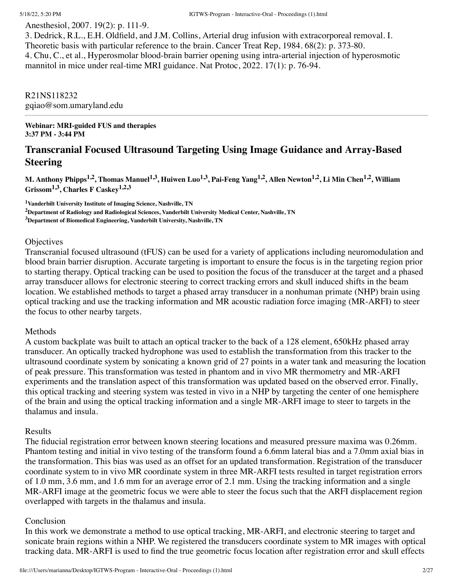Anesthesiol, 2007. 19(2): p. 111-9.

3. Dedrick, R.L., E.H. Oldfield, and J.M. Collins, Arterial drug infusion with extracorporeal removal. I. Theoretic basis with particular reference to the brain. Cancer Treat Rep, 1984. 68(2): p. 373-80. 4. Chu, C., et al., Hyperosmolar blood-brain barrier opening using intra-arterial injection of hyperosmotic mannitol in mice under real-time MRI guidance. Nat Protoc, 2022. 17(1): p. 76-94.

R21NS118232 gqiao@som.umaryland.edu

**Webinar: MRI-guided FUS and therapies 3:37 PM - 3:44 PM**

# **Transcranial Focused Ultrasound Targeting Using Image Guidance and Array-Based Steering**

M. Anthony Phipps<sup>1,2</sup>, Thomas Manuel<sup>1,3</sup>, Huiwen Luo<sup>1,3</sup>, Pai-Feng Yang<sup>1,2</sup>, Allen Newton<sup>1,2</sup>, Li Min Chen<sup>1,2</sup>, William **Grissom1,3 , Charles F Caskey 1,2,3**

**<sup>1</sup>Vanderbilt University Institute of Imaging Science, Nashville, TN <sup>2</sup>Department of Radiology and Radiological Sciences, Vanderbilt University Medical Center, Nashville, TN <sup>3</sup>Department of Biomedical Engineering, Vanderbilt University, Nashville, TN**

# **Objectives**

Transcranial focused ultrasound (tFUS) can be used for a variety of applications including neuromodulation and blood brain barrier disruption. Accurate targeting is important to ensure the focus is in the targeting region prior to starting therapy. Optical tracking can be used to position the focus of the transducer at the target and a phased array transducer allows for electronic steering to correct tracking errors and skull induced shifts in the beam location. We established methods to target a phased array transducer in a nonhuman primate (NHP) brain using optical tracking and use the tracking information and MR acoustic radiation force imaging (MR-ARFI) to steer the focus to other nearby targets.

# Methods

A custom backplate was built to attach an optical tracker to the back of a 128 element, 650kHz phased array transducer. An optically tracked hydrophone was used to establish the transformation from this tracker to the ultrasound coordinate system by sonicating a known grid of 27 points in a water tank and measuring the location of peak pressure. This transformation was tested in phantom and in vivo MR thermometry and MR-ARFI experiments and the translation aspect of this transformation was updated based on the observed error. Finally, this optical tracking and steering system was tested in vivo in a NHP by targeting the center of one hemisphere of the brain and using the optical tracking information and a single MR-ARFI image to steer to targets in the thalamus and insula.

# Results

The fiducial registration error between known steering locations and measured pressure maxima was 0.26mm. Phantom testing and initial in vivo testing of the transform found a 6.6mm lateral bias and a 7.0mm axial bias in the transformation. This bias was used as an offset for an updated transformation. Registration of the transducer coordinate system to in vivo MR coordinate system in three MR-ARFI tests resulted in target registration errors of 1.0 mm, 3.6 mm, and 1.6 mm for an average error of 2.1 mm. Using the tracking information and a single MR-ARFI image at the geometric focus we were able to steer the focus such that the ARFI displacement region overlapped with targets in the thalamus and insula.

# Conclusion

In this work we demonstrate a method to use optical tracking, MR-ARFI, and electronic steering to target and sonicate brain regions within a NHP. We registered the transducers coordinate system to MR images with optical tracking data. MR-ARFI is used to find the true geometric focus location after registration error and skull effects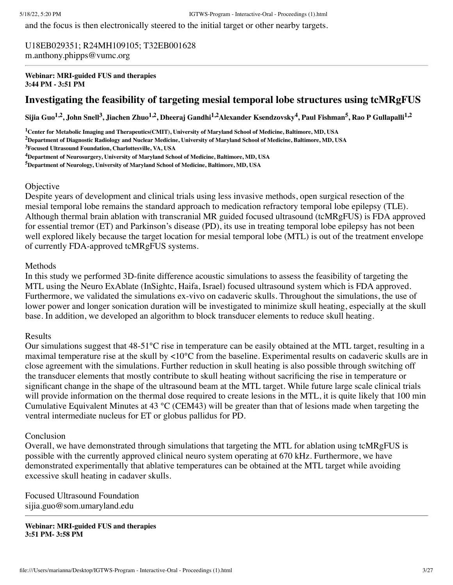and the focus is then electronically steered to the initial target or other nearby targets.

U18EB029351; R24MH109105; T32EB001628 m.anthony.phipps@vumc.org

**Webinar: MRI-guided FUS and therapies 3:44 PM - 3:51 PM**

# **Investigating the feasibility of targeting mesial temporal lobe structures using tcMRgFUS**

Sijia Guo<sup>1,2</sup>, John Snell<sup>3</sup>, Jiachen Zhuo<sup>1,2</sup>, Dheeraj Gandhi<sup>1,2</sup>Alexander Ksendzovsky<sup>4</sup>, Paul Fishman<sup>5</sup>, Rao P Gullapalli<sup>1,2</sup>

<sup>1</sup>Center for Metabolic Imaging and Therapeutics(CMIT), University of Maryland School of Medicine, Baltimore, MD, USA

<sup>2</sup>Department of Diagnostic Radiology and Nuclear Medicine, University of Maryland School of Medicine, Baltimore, MD, USA

**<sup>3</sup>Focused Ultrasound Foundation, Charlottesville, VA, USA**

**<sup>4</sup>Department of Neurosurgery, University of Maryland School of Medicine, Baltimore, MD, USA**

**<sup>5</sup>Department of Neurology, University of Maryland School of Medicine, Baltimore, MD, USA**

### **Objective**

Despite years of development and clinical trials using less invasive methods, open surgical resection of the mesial temporal lobe remains the standard approach to medication refractory temporal lobe epilepsy (TLE). Although thermal brain ablation with transcranial MR guided focused ultrasound (tcMRgFUS) is FDA approved for essential tremor (ET) and Parkinson's disease (PD), its use in treating temporal lobe epilepsy has not been well explored likely because the target location for mesial temporal lobe (MTL) is out of the treatment envelope of currently FDA-approved tcMRgFUS systems.

### Methods

In this study we performed 3D-finite difference acoustic simulations to assess the feasibility of targeting the MTL using the Neuro ExAblate (InSightc, Haifa, Israel) focused ultrasound system which is FDA approved. Furthermore, we validated the simulations ex-vivo on cadaveric skulls. Throughout the simulations, the use of lower power and longer sonication duration will be investigated to minimize skull heating, especially at the skull base. In addition, we developed an algorithm to block transducer elements to reduce skull heating.

### Results

Our simulations suggest that  $48-51^{\circ}$ C rise in temperature can be easily obtained at the MTL target, resulting in a maximal temperature rise at the skull by <10°C from the baseline. Experimental results on cadaveric skulls are in close agreement with the simulations. Further reduction in skull heating is also possible through switching off the transducer elements that mostly contribute to skull heating without sacrificing the rise in temperature or significant change in the shape of the ultrasound beam at the MTL target. While future large scale clinical trials will provide information on the thermal dose required to create lesions in the MTL, it is quite likely that 100 min Cumulative Equivalent Minutes at 43 °C (CEM43) will be greater than that of lesions made when targeting the ventral intermediate nucleus for ET or globus pallidus for PD.

### Conclusion

Overall, we have demonstrated through simulations that targeting the MTL for ablation using tcMRgFUS is possible with the currently approved clinical neuro system operating at 670 kHz. Furthermore, we have demonstrated experimentally that ablative temperatures can be obtained at the MTL target while avoiding excessive skull heating in cadaver skulls.

Focused Ultrasound Foundation sijia.guo@som.umaryland.edu

**Webinar: MRI-guided FUS and therapies 3:51 PM- 3:58 PM**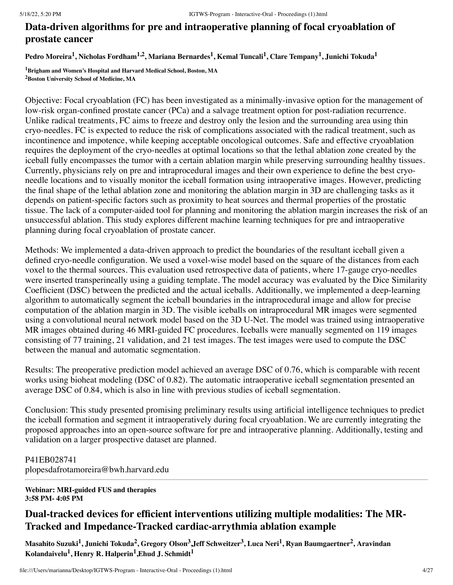# **Data-driven algorithms for pre and intraoperative planning of focal cryoablation of prostate cancer**

Pedro Moreira<sup>1</sup>, Nicholas Fordham<sup>1,2</sup>, Mariana Bernardes<sup>1</sup>, Kemal Tuncali<sup>1</sup>, Clare Tempany<sup>1</sup>, Junichi Tokuda<sup>1</sup>

**<sup>1</sup>Brigham and Women's Hospital and Harvard Medical School, Boston, MA <sup>2</sup>Boston University School of Medicine, MA**

Objective: Focal cryoablation (FC) has been investigated as a minimally-invasive option for the management of low-risk organ-confined prostate cancer (PCa) and a salvage treatment option for post-radiation recurrence. Unlike radical treatments, FC aims to freeze and destroy only the lesion and the surrounding area using thin cryo-needles. FC is expected to reduce the risk of complications associated with the radical treatment, such as incontinence and impotence, while keeping acceptable oncological outcomes. Safe and effective cryoablation requires the deployment of the cryo-needles at optimal locations so that the lethal ablation zone created by the iceball fully encompasses the tumor with a certain ablation margin while preserving surrounding healthy tissues. Currently, physicians rely on pre and intraprocedural images and their own experience to define the best cryoneedle locations and to visually monitor the iceball formation using intraoperative images. However, predicting the final shape of the lethal ablation zone and monitoring the ablation margin in 3D are challenging tasks as it depends on patient-specific factors such as proximity to heat sources and thermal properties of the prostatic tissue. The lack of a computer-aided tool for planning and monitoring the ablation margin increases the risk of an unsuccessful ablation. This study explores different machine learning techniques for pre and intraoperative planning during focal cryoablation of prostate cancer.

Methods: We implemented a data-driven approach to predict the boundaries of the resultant iceball given a defined cryo-needle configuration. We used a voxel-wise model based on the square of the distances from each voxel to the thermal sources. This evaluation used retrospective data of patients, where 17-gauge cryo-needles were inserted transperineally using a guiding template. The model accuracy was evaluated by the Dice Similarity Coefficient (DSC) between the predicted and the actual iceballs. Additionally, we implemented a deep-learning algorithm to automatically segment the iceball boundaries in the intraprocedural image and allow for precise computation of the ablation margin in 3D. The visible iceballs on intraprocedural MR images were segmented using a convolutional neural network model based on the 3D U-Net. The model was trained using intraoperative MR images obtained during 46 MRI-guided FC procedures. Iceballs were manually segmented on 119 images consisting of 77 training, 21 validation, and 21 test images. The test images were used to compute the DSC between the manual and automatic segmentation.

Results: The preoperative prediction model achieved an average DSC of 0.76, which is comparable with recent works using bioheat modeling (DSC of 0.82). The automatic intraoperative iceball segmentation presented an average DSC of 0.84, which is also in line with previous studies of iceball segmentation.

Conclusion: This study presented promising preliminary results using artificial intelligence techniques to predict the iceball formation and segment it intraoperatively during focal cryoablation. We are currently integrating the proposed approaches into an open-source software for pre and intraoperative planning. Additionally, testing and validation on a larger prospective dataset are planned.

P41EB028741 plopesdafrotamoreira@bwh.harvard.edu

**Webinar: MRI-guided FUS and therapies 3:58 PM- 4:05 PM**

# **Dual-tracked devices for efficient interventions utilizing multiple modalities: The MR-Tracked and Impedance-Tracked cardiac-arrythmia ablation example**

Masahito Suzuki<sup>1</sup>, Junichi Tokuda<sup>2</sup>, Gregory Olson<sup>3</sup>,Jeff Schweitzer<sup>3</sup>, Luca Neri<sup>1</sup>, Ryan Baumgaertner<sup>2</sup>, Aravindan  $\bf{K}$ olandaivelu $^1$ , Henry  $\bf{R}$ . Halperin $^1$ ,Ehud  $\bf{J}$ . Schmidt $^1$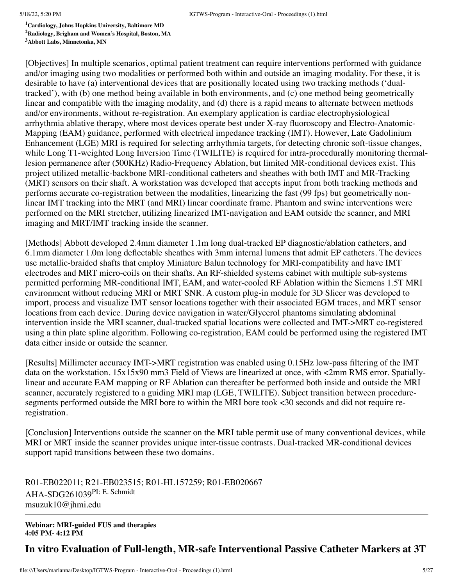**<sup>1</sup>Cardiology, Johns Hopkins University, Baltimore MD <sup>2</sup>Radiology, Brigham and Women's Hospital, Boston, MA**

**<sup>3</sup>Abbott Labs, Minnetonka, MN**

[Objectives] In multiple scenarios, optimal patient treatment can require interventions performed with guidance and/or imaging using two modalities or performed both within and outside an imaging modality. For these, it is desirable to have (a) interventional devices that are positionally located using two tracking methods ('dualtracked'), with (b) one method being available in both environments, and (c) one method being geometrically linear and compatible with the imaging modality, and (d) there is a rapid means to alternate between methods and/or environments, without re-registration. An exemplary application is cardiac electrophysiological arrhythmia ablative therapy, where most devices operate best under X-ray fluoroscopy and Electro-Anatomic-Mapping (EAM) guidance, performed with electrical impedance tracking (IMT). However, Late Gadolinium Enhancement (LGE) MRI is required for selecting arrhythmia targets, for detecting chronic soft-tissue changes, while Long T1-weighted Long Inversion Time (TWILITE) is required for intra-procedurally monitoring thermallesion permanence after (500KHz) Radio-Frequency Ablation, but limited MR-conditional devices exist. This project utilized metallic-backbone MRI-conditional catheters and sheathes with both IMT and MR-Tracking (MRT) sensors on their shaft. A workstation was developed that accepts input from both tracking methods and performs accurate co-registration between the modalities, linearizing the fast (99 fps) but geometrically nonlinear IMT tracking into the MRT (and MRI) linear coordinate frame. Phantom and swine interventions were performed on the MRI stretcher, utilizing linearized IMT-navigation and EAM outside the scanner, and MRI imaging and MRT/IMT tracking inside the scanner.

[Methods] Abbott developed 2.4mm diameter 1.1m long dual-tracked EP diagnostic/ablation catheters, and 6.1mm diameter 1.0m long deflectable sheathes with 3mm internal lumens that admit EP catheters. The devices use metallic-braided shafts that employ Miniature Balun technology for MRI-compatibility and have IMT electrodes and MRT micro-coils on their shafts. An RF-shielded systems cabinet with multiple sub-systems permitted performing MR-conditional IMT, EAM, and water-cooled RF Ablation within the Siemens 1.5T MRI environment without reducing MRI or MRT SNR. A custom plug-in module for 3D Slicer was developed to import, process and visualize IMT sensor locations together with their associated EGM traces, and MRT sensor locations from each device. During device navigation in water/Glycerol phantoms simulating abdominal intervention inside the MRI scanner, dual-tracked spatial locations were collected and IMT->MRT co-registered using a thin plate spline algorithm. Following co-registration, EAM could be performed using the registered IMT data either inside or outside the scanner.

[Results] Millimeter accuracy IMT->MRT registration was enabled using 0.15Hz low-pass filtering of the IMT data on the workstation. 15x15x90 mm3 Field of Views are linearized at once, with <2mm RMS error. Spatiallylinear and accurate EAM mapping or RF Ablation can thereafter be performed both inside and outside the MRI scanner, accurately registered to a guiding MRI map (LGE, TWILITE). Subject transition between proceduresegments performed outside the MRI bore to within the MRI bore took <30 seconds and did not require reregistration.

[Conclusion] Interventions outside the scanner on the MRI table permit use of many conventional devices, while MRI or MRT inside the scanner provides unique inter-tissue contrasts. Dual-tracked MR-conditional devices support rapid transitions between these two domains.

R01-EB022011; R21-EB023515; R01-HL157259; R01-EB020667 AHA-SDG261039PI: E. Schmidt msuzuk10@jhmi.edu

**Webinar: MRI-guided FUS and therapies 4:05 PM- 4:12 PM**

**In vitro Evaluation of Full-length, MR-safe Interventional Passive Catheter Markers at 3T**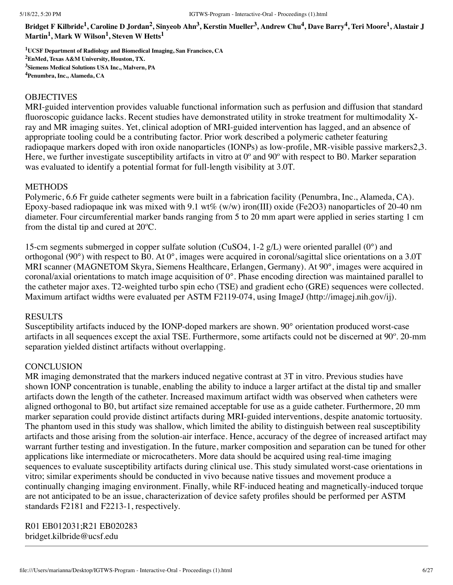Bridget F Kilbride<sup>1</sup>, Caroline D Jordan<sup>2</sup>, Sinyeob Ahn<sup>3</sup>, Kerstin Mueller<sup>3</sup>, Andrew Chu<sup>4</sup>, Dave Barry<sup>4</sup>, Teri Moore<sup>1</sup>, Alastair J **Martin 1 , Mark W Wilson 1 , Steven W Hetts 1**

**UCSF Department of Radiology and Biomedical Imaging, San Francisco, CA EnMed, Texas A&M University, Houston, TX. Siemens Medical Solutions USA Inc., Malvern, PA Penumbra, Inc., Alameda, CA**

### **OBJECTIVES**

MRI-guided intervention provides valuable functional information such as perfusion and diffusion that standard fluoroscopic guidance lacks. Recent studies have demonstrated utility in stroke treatment for multimodality Xray and MR imaging suites. Yet, clinical adoption of MRI-guided intervention has lagged, and an absence of appropriate tooling could be a contributing factor. Prior work described a polymeric catheter featuring radiopaque markers doped with iron oxide nanoparticles (IONPs) as low-profile, MR-visible passive markers2,3. Here, we further investigate susceptibility artifacts in vitro at 0<sup>o</sup> and 90<sup>o</sup> with respect to B0. Marker separation was evaluated to identify a potential format for full-length visibility at 3.0T.

### METHODS

Polymeric, 6.6 Fr guide catheter segments were built in a fabrication facility (Penumbra, Inc., Alameda, CA). Epoxy-based radiopaque ink was mixed with 9.1 wt% (w/w) iron(III) oxide (Fe2O3) nanoparticles of 20-40 nm diameter. Four circumferential marker bands ranging from 5 to 20 mm apart were applied in series starting 1 cm from the distal tip and cured at 20ºC.

15-cm segments submerged in copper sulfate solution (CuSO4, 1-2 g/L) were oriented parallel (0°) and orthogonal (90°) with respect to B0. At 0°, images were acquired in coronal/sagittal slice orientations on a 3.0T MRI scanner (MAGNETOM Skyra, Siemens Healthcare, Erlangen, Germany). At 90°, images were acquired in coronal/axial orientations to match image acquisition of 0°. Phase encoding direction was maintained parallel to the catheter major axes. T2-weighted turbo spin echo (TSE) and gradient echo (GRE) sequences were collected. Maximum artifact widths were evaluated per ASTM F2119-074, using ImageJ (http://imagej.nih.gov/ij).

# **RESULTS**

Susceptibility artifacts induced by the IONP-doped markers are shown. 90° orientation produced worst-case artifacts in all sequences except the axial TSE. Furthermore, some artifacts could not be discerned at 90º. 20-mm separation yielded distinct artifacts without overlapping.

### **CONCLUSION**

MR imaging demonstrated that the markers induced negative contrast at 3T in vitro. Previous studies have shown IONP concentration is tunable, enabling the ability to induce a larger artifact at the distal tip and smaller artifacts down the length of the catheter. Increased maximum artifact width was observed when catheters were aligned orthogonal to B0, but artifact size remained acceptable for use as a guide catheter. Furthermore, 20 mm marker separation could provide distinct artifacts during MRI-guided interventions, despite anatomic tortuosity. The phantom used in this study was shallow, which limited the ability to distinguish between real susceptibility artifacts and those arising from the solution-air interface. Hence, accuracy of the degree of increased artifact may warrant further testing and investigation. In the future, marker composition and separation can be tuned for other applications like intermediate or microcatheters. More data should be acquired using real-time imaging sequences to evaluate susceptibility artifacts during clinical use. This study simulated worst-case orientations in vitro; similar experiments should be conducted in vivo because native tissues and movement produce a continually changing imaging environment. Finally, while RF-induced heating and magnetically-induced torque are not anticipated to be an issue, characterization of device safety profiles should be performed per ASTM standards F2181 and F2213-1, respectively.

R01 EB012031;R21 EB020283 bridget.kilbride@ucsf.edu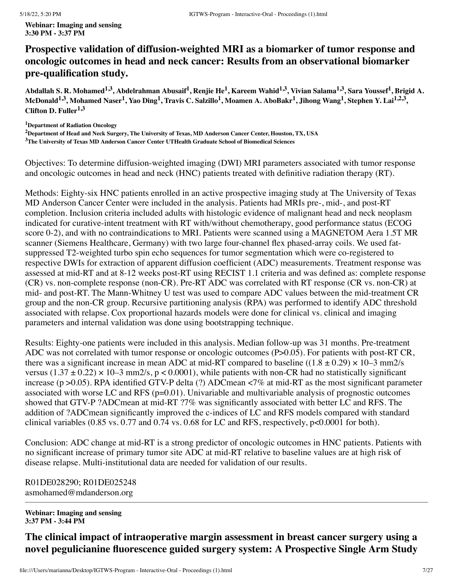# **Prospective validation of diffusion-weighted MRI as a biomarker of tumor response and oncologic outcomes in head and neck cancer: Results from an observational biomarker pre-qualification study.**

Abdallah S. R. Mohamed<sup>1,3</sup>, Abdelrahman Abusaif<sup>1</sup>, Renjie He<sup>1</sup>, Kareem Wahid<sup>1,3</sup>, Vivian Salama<sup>1,3</sup>, Sara Youssef<sup>1</sup>, Brigid A. McDonald $^{1,3}$ , Mohamed Naser $^1$ , Yao Ding $^1$ , Travis C. Salzillo $^1$ , Moamen A. AboBakr $^1$ , Jihong Wang $^1$ , Stephen Y. Lai $^{1,2,3},$ **Clifton D. Fuller 1,3**

**<sup>1</sup>Department of Radiation Oncology**

<sup>2</sup>Department of Head and Neck Surgery, The University of Texas, MD Anderson Cancer Center, Houston, TX, USA **<sup>3</sup>The University of Texas MD Anderson Cancer Center UTHealth Graduate School of Biomedical Sciences**

Objectives: To determine diffusion-weighted imaging (DWI) MRI parameters associated with tumor response and oncologic outcomes in head and neck (HNC) patients treated with definitive radiation therapy (RT).

Methods: Eighty-six HNC patients enrolled in an active prospective imaging study at The University of Texas MD Anderson Cancer Center were included in the analysis. Patients had MRIs pre-, mid-, and post-RT completion. Inclusion criteria included adults with histologic evidence of malignant head and neck neoplasm indicated for curative-intent treatment with RT with/without chemotherapy, good performance status (ECOG score 0-2), and with no contraindications to MRI. Patients were scanned using a MAGNETOM Aera 1.5T MR scanner (Siemens Healthcare, Germany) with two large four-channel flex phased-array coils. We used fatsuppressed T2-weighted turbo spin echo sequences for tumor segmentation which were co-registered to respective DWIs for extraction of apparent diffusion coefficient (ADC) measurements. Treatment response was assessed at mid-RT and at 8-12 weeks post-RT using RECIST 1.1 criteria and was defined as: complete response (CR) vs. non-complete response (non-CR). Pre-RT ADC was correlated with RT response (CR vs. non-CR) at mid- and post-RT. The Mann-Whitney U test was used to compare ADC values between the mid-treatment CR group and the non-CR group. Recursive partitioning analysis (RPA) was performed to identify ADC threshold associated with relapse. Cox proportional hazards models were done for clinical vs. clinical and imaging parameters and internal validation was done using bootstrapping technique.

Results: Eighty-one patients were included in this analysis. Median follow-up was 31 months. Pre-treatment ADC was not correlated with tumor response or oncologic outcomes (P>0.05). For patients with post-RT CR, there was a significant increase in mean ADC at mid-RT compared to baseline ((1.8  $\pm$  0.29)  $\times$  10–3 mm2/s versus (1.37  $\pm$  0.22)  $\times$  10–3 mm2/s, p < 0.0001), while patients with non-CR had no statistically significant increase (p >0.05). RPA identified GTV-P delta (?) ADCmean <7% at mid-RT as the most significant parameter associated with worse LC and RFS ( $p=0.01$ ). Univariable and multivariable analysis of prognostic outcomes showed that GTV-P ?ADCmean at mid-RT ?7% was significantly associated with better LC and RFS. The addition of ?ADCmean significantly improved the c-indices of LC and RFS models compared with standard clinical variables (0.85 vs. 0.77 and 0.74 vs. 0.68 for LC and RFS, respectively, p<0.0001 for both).

Conclusion: ADC change at mid-RT is a strong predictor of oncologic outcomes in HNC patients. Patients with no significant increase of primary tumor site ADC at mid-RT relative to baseline values are at high risk of disease relapse. Multi-institutional data are needed for validation of our results.

R01DE028290; R01DE025248 asmohamed@mdanderson.org

**Webinar: Imaging and sensing 3:37 PM - 3:44 PM**

**The clinical impact of intraoperative margin assessment in breast cancer surgery using a novel pegulicianine fluorescence guided surgery system: A Prospective Single Arm Study**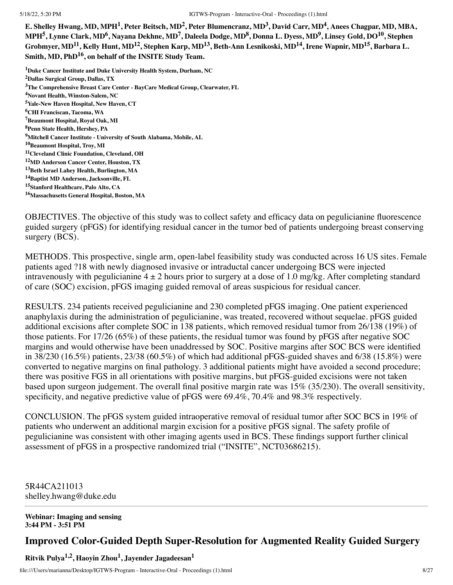E. Shelley Hwang, MD, MPH<sup>1</sup>, Peter Beitsch, MD<sup>2</sup>, Peter Blumencranz, MD<sup>3</sup>, David Carr, MD<sup>4</sup>, Anees Chagpar, MD, MBA, MPH<sup>5</sup>, Lynne Clark, MD<sup>6</sup>, Nayana Dekhne, MD<sup>7</sup>, Daleela Dodge, MD<sup>8</sup>, Donna L. Dyess, MD<sup>9</sup>, Linsey Gold, DO<sup>10</sup>, Stephen Grobmyer, MD<sup>11</sup>, Kelly Hunt, MD<sup>12</sup>, Stephen Karp, MD<sup>13</sup>, Beth-Ann Lesnikoski, MD<sup>14</sup>, Irene Wapnir, MD<sup>15</sup>, Barbara L. **Smith, MD, PhD 16 , on behalf of the INSITE Study Team.**

**Duke Cancer Institute and Duke University Health System, Durham, NC Dallas Surgical Group, Dallas, TX The Comprehensive Breast Care Center - BayCare Medical Group, Clearwater, FL Novant Health, Winston-Salem, NC Yale-New Haven Hospital, New Haven, CT CHI Franciscan, Tacoma, WA Beaumont Hospital, Royal Oak, MI Penn State Health, Hershey, PA Mitchell Cancer Institute - University of South Alabama, Mobile, AL Beaumont Hospital, Troy, MI Cleveland Clinic Foundation, Cleveland, OH MD Anderson Cancer Center, Houston, TX Beth Israel Lahey Health, Burlington, MA Baptist MD Anderson, Jacksonville, FL Stanford Healthcare, Palo Alto, CA Massachusetts General Hospital, Boston, MA**

OBJECTIVES. The objective of this study was to collect safety and efficacy data on pegulicianine fluorescence guided surgery (pFGS) for identifying residual cancer in the tumor bed of patients undergoing breast conserving surgery (BCS).

METHODS. This prospective, single arm, open-label feasibility study was conducted across 16 US sites. Female patients aged ?18 with newly diagnosed invasive or intraductal cancer undergoing BCS were injected intravenously with pegulicianine  $4 \pm 2$  hours prior to surgery at a dose of 1.0 mg/kg. After completing standard of care (SOC) excision, pFGS imaging guided removal of areas suspicious for residual cancer.

RESULTS. 234 patients received pegulicianine and 230 completed pFGS imaging. One patient experienced anaphylaxis during the administration of pegulicianine, was treated, recovered without sequelae. pFGS guided additional excisions after complete SOC in 138 patients, which removed residual tumor from 26/138 (19%) of those patients. For 17/26 (65%) of these patients, the residual tumor was found by pFGS after negative SOC margins and would otherwise have been unaddressed by SOC. Positive margins after SOC BCS were identified in  $38/230$  (16.5%) patients,  $23/38$  (60.5%) of which had additional pFGS-guided shaves and 6/38 (15.8%) were converted to negative margins on final pathology. 3 additional patients might have avoided a second procedure; there was positive FGS in all orientations with positive margins, but pFGS-guided excisions were not taken based upon surgeon judgement. The overall final positive margin rate was 15% (35/230). The overall sensitivity, specificity, and negative predictive value of pFGS were 69.4%, 70.4% and 98.3% respectively.

CONCLUSION. The pFGS system guided intraoperative removal of residual tumor after SOC BCS in 19% of patients who underwent an additional margin excision for a positive pFGS signal. The safety profile of pegulicianine was consistent with other imaging agents used in BCS. These findings support further clinical assessment of pFGS in a prospective randomized trial ("INSITE", NCT03686215).

5R44CA211013 shelley.hwang@duke.edu

**Webinar: Imaging and sensing 3:44 PM - 3:51 PM**

# **Improved Color-Guided Depth Super-Resolution for Augmented Reality Guided Surgery**

**Ritvik Pulya 1,2 , Haoyin Zhou 1 , Jayender Jagadeesan 1**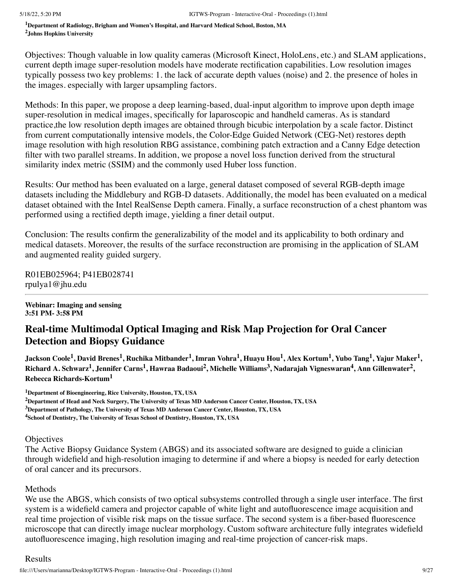**<sup>1</sup>Department of Radiology, Brigham and Women's Hospital, and Harvard Medical School, Boston, MA <sup>2</sup>Johns Hopkins University**

Objectives: Though valuable in low quality cameras (Microsoft Kinect, HoloLens, etc.) and SLAM applications, current depth image super-resolution models have moderate rectification capabilities. Low resolution images typically possess two key problems: 1. the lack of accurate depth values (noise) and 2. the presence of holes in the images. especially with larger upsampling factors.

Methods: In this paper, we propose a deep learning-based, dual-input algorithm to improve upon depth image super-resolution in medical images, specifically for laparoscopic and handheld cameras. As is standard practice,the low resolution depth images are obtained through bicubic interpolation by a scale factor. Distinct from current computationally intensive models, the Color-Edge Guided Network (CEG-Net) restores depth image resolution with high resolution RBG assistance, combining patch extraction and a Canny Edge detection filter with two parallel streams. In addition, we propose a novel loss function derived from the structural similarity index metric (SSIM) and the commonly used Huber loss function.

Results: Our method has been evaluated on a large, general dataset composed of several RGB-depth image datasets including the Middlebury and RGB-D datasets. Additionally, the model has been evaluated on a medical dataset obtained with the Intel RealSense Depth camera. Finally, a surface reconstruction of a chest phantom was performed using a rectified depth image, yielding a finer detail output.

Conclusion: The results confirm the generalizability of the model and its applicability to both ordinary and medical datasets. Moreover, the results of the surface reconstruction are promising in the application of SLAM and augmented reality guided surgery.

R01EB025964; P41EB028741 rpulya1@jhu.edu

**Webinar: Imaging and sensing 3:51 PM- 3:58 PM**

# **Real-time Multimodal Optical Imaging and Risk Map Projection for Oral Cancer Detection and Biopsy Guidance**

Jackson Coole<sup>1</sup>, David Brenes<sup>1</sup>, Ruchika Mitbander<sup>1</sup>, Imran Vohra<sup>1</sup>, Huayu Hou<sup>1</sup>, Alex Kortum<sup>1</sup>, Yubo Tang<sup>1</sup>, Yajur Maker<sup>1</sup>, Richard A. Schwarz<sup>1</sup>, Jennifer Carns<sup>1</sup>, Hawraa Badaoui<sup>2</sup>, Michelle Williams<sup>3</sup>, Nadarajah Vigneswaran<sup>4</sup>, Ann Gillenwater<sup>2</sup>, **Rebecca Richards-Kortum<sup>1</sup>**

**<sup>1</sup>Department of Bioengineering, Rice University, Houston, TX, USA**

<sup>2</sup>Department of Head and Neck Surgery, The University of Texas MD Anderson Cancer Center, Houston, TX, USA **<sup>3</sup>Department of Pathology, The University of Texas MD Anderson Cancer Center, Houston, TX, USA <sup>4</sup>School of Dentistry, The University of Texas School of Dentistry, Houston, TX, USA**

**Objectives** 

The Active Biopsy Guidance System (ABGS) and its associated software are designed to guide a clinician through widefield and high-resolution imaging to determine if and where a biopsy is needed for early detection of oral cancer and its precursors.

### **Methods**

We use the ABGS, which consists of two optical subsystems controlled through a single user interface. The first system is a widefield camera and projector capable of white light and autofluorescence image acquisition and real time projection of visible risk maps on the tissue surface. The second system is a fiber-based fluorescence microscope that can directly image nuclear morphology. Custom software architecture fully integrates widefield autofluorescence imaging, high resolution imaging and real-time projection of cancer-risk maps.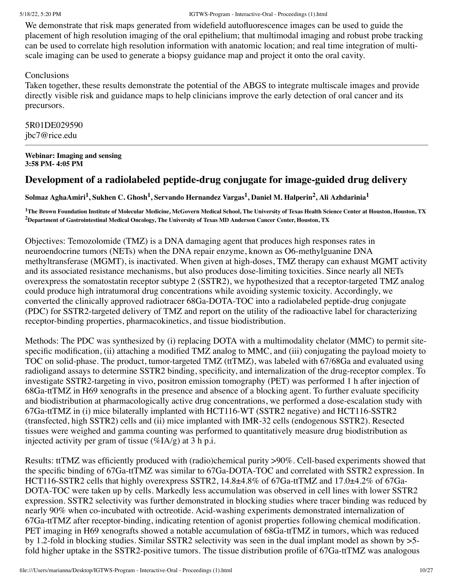We demonstrate that risk maps generated from widefield autofluorescence images can be used to guide the placement of high resolution imaging of the oral epithelium; that multimodal imaging and robust probe tracking can be used to correlate high resolution information with anatomic location; and real time integration of multiscale imaging can be used to generate a biopsy guidance map and project it onto the oral cavity.

# **Conclusions**

Taken together, these results demonstrate the potential of the ABGS to integrate multiscale images and provide directly visible risk and guidance maps to help clinicians improve the early detection of oral cancer and its precursors.

5R01DE029590 jbc7@rice.edu

### **Webinar: Imaging and sensing 3:58 PM- 4:05 PM**

# **Development of a radiolabeled peptide-drug conjugate for image-guided drug delivery**

Solmaz AghaAmiri<sup>1</sup>, Sukhen C. Ghosh<sup>1</sup>, Servando Hernandez Vargas<sup>1</sup>, Daniel M. Halperin<sup>2</sup>, Ali Azhdarinia<sup>1</sup>

<sup>1</sup>The Brown Foundation Institute of Molecular Medicine, McGovern Medical School, The University of Texas Health Science Center at Houston, Houston, TX **<sup>2</sup>Department of Gastrointestinal Medical Oncology, The University of Texas MD Anderson Cancer Center, Houston, TX**

Objectives: Temozolomide (TMZ) is a DNA damaging agent that produces high responses rates in neuroendocrine tumors (NETs) when the DNA repair enzyme, known as O6-methylguanine DNA methyltransferase (MGMT), is inactivated. When given at high-doses, TMZ therapy can exhaust MGMT activity and its associated resistance mechanisms, but also produces dose-limiting toxicities. Since nearly all NETs overexpress the somatostatin receptor subtype 2 (SSTR2), we hypothesized that a receptor-targeted TMZ analog could produce high intratumoral drug concentrations while avoiding systemic toxicity. Accordingly, we converted the clinically approved radiotracer 68Ga-DOTA-TOC into a radiolabeled peptide-drug conjugate (PDC) for SSTR2-targeted delivery of TMZ and report on the utility of the radioactive label for characterizing receptor-binding properties, pharmacokinetics, and tissue biodistribution.

Methods: The PDC was synthesized by (i) replacing DOTA with a multimodality chelator (MMC) to permit sitespecific modification, (ii) attaching a modified TMZ analog to MMC, and (iii) conjugating the payload moiety to TOC on solid-phase. The product, tumor-targeted TMZ (ttTMZ), was labeled with 67/68Ga and evaluated using radioligand assays to determine SSTR2 binding, specificity, and internalization of the drug-receptor complex. To investigate SSTR2-targeting in vivo, positron emission tomography (PET) was performed 1 h after injection of 68Ga-ttTMZ in H69 xenografts in the presence and absence of a blocking agent. To further evaluate specificity and biodistribution at pharmacologically active drug concentrations, we performed a dose-escalation study with 67Ga-ttTMZ in (i) mice bilaterally implanted with HCT116-WT (SSTR2 negative) and HCT116-SSTR2 (transfected, high SSTR2) cells and (ii) mice implanted with IMR-32 cells (endogenous SSTR2). Resected tissues were weighed and gamma counting was performed to quantitatively measure drug biodistribution as injected activity per gram of tissue  $(\%IA/g)$  at 3 h p.i.

Results: ttTMZ was efficiently produced with (radio)chemical purity >90%. Cell-based experiments showed that the specific binding of 67Ga-ttTMZ was similar to 67Ga-DOTA-TOC and correlated with SSTR2 expression. In HCT116-SSTR2 cells that highly overexpress SSTR2, 14.8±4.8% of 67Ga-ttTMZ and 17.0±4.2% of 67Ga-DOTA-TOC were taken up by cells. Markedly less accumulation was observed in cell lines with lower SSTR2 expression. SSTR2 selectivity was further demonstrated in blocking studies where tracer binding was reduced by nearly 90% when co-incubated with octreotide. Acid-washing experiments demonstrated internalization of 67Ga-ttTMZ after receptor-binding, indicating retention of agonist properties following chemical modification. PET imaging in H69 xenografts showed a notable accumulation of 68Ga-ttTMZ in tumors, which was reduced by 1.2-fold in blocking studies. Similar SSTR2 selectivity was seen in the dual implant model as shown by >5 fold higher uptake in the SSTR2-positive tumors. The tissue distribution profile of 67Ga-ttTMZ was analogous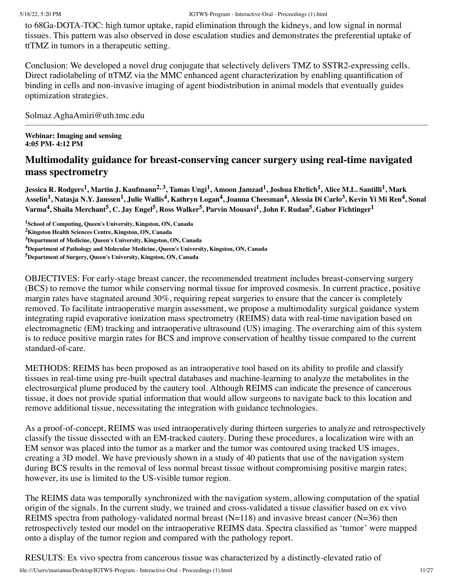to 68Ga-DOTA-TOC: high tumor uptake, rapid elimination through the kidneys, and low signal in normal tissues. This pattern was also observed in dose escalation studies and demonstrates the preferential uptake of ttTMZ in tumors in a therapeutic setting.

Conclusion: We developed a novel drug conjugate that selectively delivers TMZ to SSTR2-expressing cells. Direct radiolabeling of ttTMZ via the MMC enhanced agent characterization by enabling quantification of binding in cells and non-invasive imaging of agent biodistribution in animal models that eventually guides optimization strategies.

Solmaz.AghaAmiri@uth.tmc.edu

**Webinar: Imaging and sensing 4:05 PM- 4:12 PM**

# **Multimodality guidance for breast-conserving cancer surgery using real-time navigated mass spectrometry**

Jessica R. Rodgers<sup>1</sup>, Martin J. Kaufmann<sup>2, 3</sup>, Tamas Ungi<sup>1</sup>, Amoon Jamzad<sup>1</sup>, Joshua Ehrlich<sup>1</sup>, Alice M.L. Santilli<sup>1</sup>, Mark Asselin<sup>1</sup>, Natasja N.Y. Janssen<sup>1</sup>, Julie Wallis<sup>4</sup>, Kathryn Logan<sup>4</sup>, Joanna Cheesman<sup>4</sup>, Alessia Di Carlo<sup>3</sup>, Kevin Yi Mi Ren<sup>4</sup>, Sonal Varma<sup>4</sup>, Shaila Merchant<sup>5</sup>, C. Jay Engel<sup>5</sup>, Ross Walker<sup>5</sup>, Parvin Mousavi<sup>1</sup>, John F. Rudan<sup>5</sup>, Gabor Fichtinger<sup>1</sup>

**<sup>1</sup>School of Computing, Queen's University, Kingston, ON, Canada**

**<sup>2</sup>Kingston Health Sciences Centre, Kingston, ON, Canada**

OBJECTIVES: For early-stage breast cancer, the recommended treatment includes breast-conserving surgery (BCS) to remove the tumor while conserving normal tissue for improved cosmesis. In current practice, positive margin rates have stagnated around 30%, requiring repeat surgeries to ensure that the cancer is completely removed. To facilitate intraoperative margin assessment, we propose a multimodality surgical guidance system integrating rapid evaporative ionization mass spectrometry (REIMS) data with real-time navigation based on electromagnetic (EM) tracking and intraoperative ultrasound (US) imaging. The overarching aim of this system is to reduce positive margin rates for BCS and improve conservation of healthy tissue compared to the current standard-of-care.

METHODS: REIMS has been proposed as an intraoperative tool based on its ability to profile and classify tissues in real-time using pre-built spectral databases and machine-learning to analyze the metabolites in the electrosurgical plume produced by the cautery tool. Although REIMS can indicate the presence of cancerous tissue, it does not provide spatial information that would allow surgeons to navigate back to this location and remove additional tissue, necessitating the integration with guidance technologies.

As a proof-of-concept, REIMS was used intraoperatively during thirteen surgeries to analyze and retrospectively classify the tissue dissected with an EM-tracked cautery. During these procedures, a localization wire with an EM sensor was placed into the tumor as a marker and the tumor was contoured using tracked US images, creating a 3D model. We have previously shown in a study of 40 patients that use of the navigation system during BCS results in the removal of less normal breast tissue without compromising positive margin rates; however, its use is limited to the US-visible tumor region.

The REIMS data was temporally synchronized with the navigation system, allowing computation of the spatial origin of the signals. In the current study, we trained and cross-validated a tissue classifier based on ex vivo REIMS spectra from pathology-validated normal breast  $(N=118)$  and invasive breast cancer  $(N=36)$  then retrospectively tested our model on the intraoperative REIMS data. Spectra classified as 'tumor' were mapped onto a display of the tumor region and compared with the pathology report.

RESULTS: Ex vivo spectra from cancerous tissue was characterized by a distinctly-elevated ratio of

**<sup>3</sup>Department of Medicine, Queen's University, Kingston, ON, Canada**

**<sup>4</sup>Department of Pathology and Molecular Medicine, Queen's University, Kingston, ON, Canada**

**<sup>5</sup>Department of Surgery, Queen's University, Kingston, ON, Canada**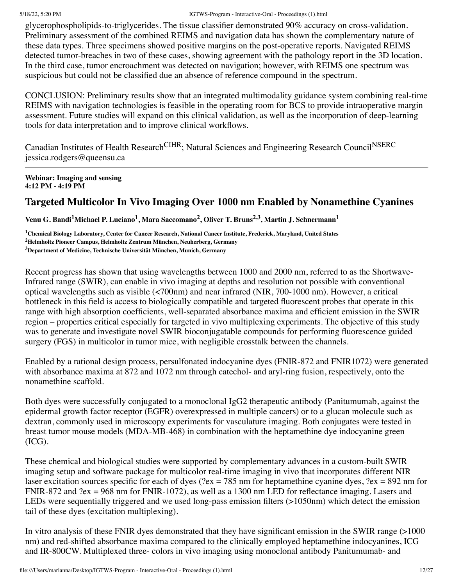glycerophospholipids-to-triglycerides. The tissue classifier demonstrated 90% accuracy on cross-validation. Preliminary assessment of the combined REIMS and navigation data has shown the complementary nature of these data types. Three specimens showed positive margins on the post-operative reports. Navigated REIMS detected tumor-breaches in two of these cases, showing agreement with the pathology report in the 3D location. In the third case, tumor encroachment was detected on navigation; however, with REIMS one spectrum was suspicious but could not be classified due an absence of reference compound in the spectrum.

CONCLUSION: Preliminary results show that an integrated multimodality guidance system combining real-time REIMS with navigation technologies is feasible in the operating room for BCS to provide intraoperative margin assessment. Future studies will expand on this clinical validation, as well as the incorporation of deep-learning tools for data interpretation and to improve clinical workflows.

Canadian Institutes of Health Research<sup>CIHR</sup>; Natural Sciences and Engineering Research Council<sup>NSERC</sup> jessica.rodgers@queensu.ca

**Webinar: Imaging and sensing 4:12 PM - 4:19 PM**

# **Targeted Multicolor In Vivo Imaging Over 1000 nm Enabled by Nonamethine Cyanines**

Venu G. Bandi<sup>1</sup>Michael P. Luciano<sup>1</sup>, Mara Saccomano<sup>2</sup>, Oliver T. Bruns<sup>2,3</sup>, Martin J. Schnermann<sup>1</sup>

**<sup>1</sup>Chemical Biology Laboratory, Center for Cancer Research, National Cancer Institute, Frederick, Maryland, United States <sup>2</sup>Helmholtz Pioneer Campus, Helmholtz Zentrum München, Neuherberg, Germany <sup>3</sup>Department of Medicine, Technische Universität München, Munich, Germany**

Recent progress has shown that using wavelengths between 1000 and 2000 nm, referred to as the Shortwave-Infrared range (SWIR), can enable in vivo imaging at depths and resolution not possible with conventional optical wavelengths such as visible (<700nm) and near infrared (NIR, 700-1000 nm). However, a critical bottleneck in this field is access to biologically compatible and targeted fluorescent probes that operate in this range with high absorption coefficients, well-separated absorbance maxima and efficient emission in the SWIR region – properties critical especially for targeted in vivo multiplexing experiments. The objective of this study was to generate and investigate novel SWIR bioconjugatable compounds for performing fluorescence guided surgery (FGS) in multicolor in tumor mice, with negligible crosstalk between the channels.

Enabled by a rational design process, persulfonated indocyanine dyes (FNIR-872 and FNIR1072) were generated with absorbance maxima at 872 and 1072 nm through catechol- and aryl-ring fusion, respectively, onto the nonamethine scaffold.

Both dyes were successfully conjugated to a monoclonal IgG2 therapeutic antibody (Panitumumab, against the epidermal growth factor receptor (EGFR) overexpressed in multiple cancers) or to a glucan molecule such as dextran, commonly used in microscopy experiments for vasculature imaging. Both conjugates were tested in breast tumor mouse models (MDA-MB-468) in combination with the heptamethine dye indocyanine green (ICG).

These chemical and biological studies were supported by complementary advances in a custom-built SWIR imaging setup and software package for multicolor real-time imaging in vivo that incorporates different NIR laser excitation sources specific for each of dyes ( $2ex = 785$  nm for heptamethine cyanine dyes,  $2ex = 892$  nm for FNIR-872 and ?ex = 968 nm for FNIR-1072), as well as a 1300 nm LED for reflectance imaging. Lasers and LEDs were sequentially triggered and we used long-pass emission filters (>1050nm) which detect the emission tail of these dyes (excitation multiplexing).

In vitro analysis of these FNIR dyes demonstrated that they have significant emission in the SWIR range (>1000 nm) and red-shifted absorbance maxima compared to the clinically employed heptamethine indocyanines, ICG and IR-800CW. Multiplexed three- colors in vivo imaging using monoclonal antibody Panitumumab- and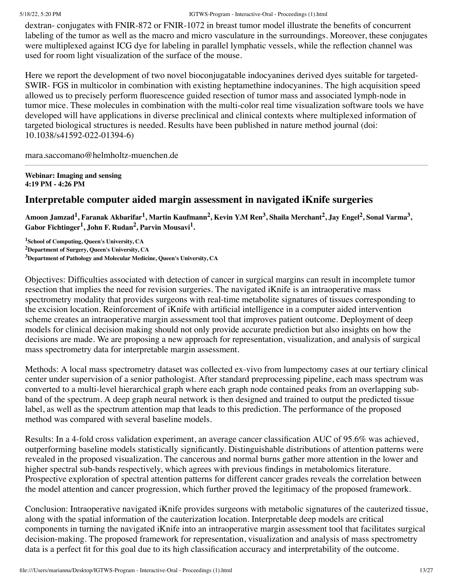dextran- conjugates with FNIR-872 or FNIR-1072 in breast tumor model illustrate the benefits of concurrent labeling of the tumor as well as the macro and micro vasculature in the surroundings. Moreover, these conjugates were multiplexed against ICG dye for labeling in parallel lymphatic vessels, while the reflection channel was used for room light visualization of the surface of the mouse.

Here we report the development of two novel bioconjugatable indocyanines derived dyes suitable for targeted-SWIR- FGS in multicolor in combination with existing heptamethine indocyanines. The high acquisition speed allowed us to precisely perform fluorescence guided resection of tumor mass and associated lymph-node in tumor mice. These molecules in combination with the multi-color real time visualization software tools we have developed will have applications in diverse preclinical and clinical contexts where multiplexed information of targeted biological structures is needed. Results have been published in nature method journal (doi: 10.1038/s41592-022-01394-6)

mara.saccomano@helmholtz-muenchen.de

**Webinar: Imaging and sensing 4:19 PM - 4:26 PM**

# **Interpretable computer aided margin assessment in navigated iKnife surgeries**

Amoon Jamzad<sup>1</sup>, Faranak Akbarifar<sup>1</sup>, Martin Kaufmann<sup>2</sup>, Kevin Y.M Ren<sup>3</sup>, Shaila Merchant<sup>2</sup>, Jay Engel<sup>2</sup>, Sonal Varma<sup>3</sup>, **Gabor Fichtinger 1 , John F. Rudan 2 , Parvin Mousavi 1 .**

**<sup>1</sup>School of Computing, Queen's University, CA <sup>2</sup>Department of Surgery, Queen's University, CA <sup>3</sup>Department of Pathology and Molecular Medicine, Queen's University, CA**

Objectives: Difficulties associated with detection of cancer in surgical margins can result in incomplete tumor resection that implies the need for revision surgeries. The navigated iKnife is an intraoperative mass spectrometry modality that provides surgeons with real-time metabolite signatures of tissues corresponding to the excision location. Reinforcement of iKnife with artificial intelligence in a computer aided intervention scheme creates an intraoperative margin assessment tool that improves patient outcome. Deployment of deep models for clinical decision making should not only provide accurate prediction but also insights on how the decisions are made. We are proposing a new approach for representation, visualization, and analysis of surgical mass spectrometry data for interpretable margin assessment.

Methods: A local mass spectrometry dataset was collected ex-vivo from lumpectomy cases at our tertiary clinical center under supervision of a senior pathologist. After standard preprocessing pipeline, each mass spectrum was converted to a multi-level hierarchical graph where each graph node contained peaks from an overlapping subband of the spectrum. A deep graph neural network is then designed and trained to output the predicted tissue label, as well as the spectrum attention map that leads to this prediction. The performance of the proposed method was compared with several baseline models.

Results: In a 4-fold cross validation experiment, an average cancer classification AUC of 95.6% was achieved, outperforming baseline models statistically significantly. Distinguishable distributions of attention patterns were revealed in the proposed visualization. The cancerous and normal burns gather more attention in the lower and higher spectral sub-bands respectively, which agrees with previous findings in metabolomics literature. Prospective exploration of spectral attention patterns for different cancer grades reveals the correlation between the model attention and cancer progression, which further proved the legitimacy of the proposed framework.

Conclusion: Intraoperative navigated iKnife provides surgeons with metabolic signatures of the cauterized tissue, along with the spatial information of the cauterization location. Interpretable deep models are critical components in turning the navigated iKnife into an intraoperative margin assessment tool that facilitates surgical decision-making. The proposed framework for representation, visualization and analysis of mass spectrometry data is a perfect fit for this goal due to its high classification accuracy and interpretability of the outcome.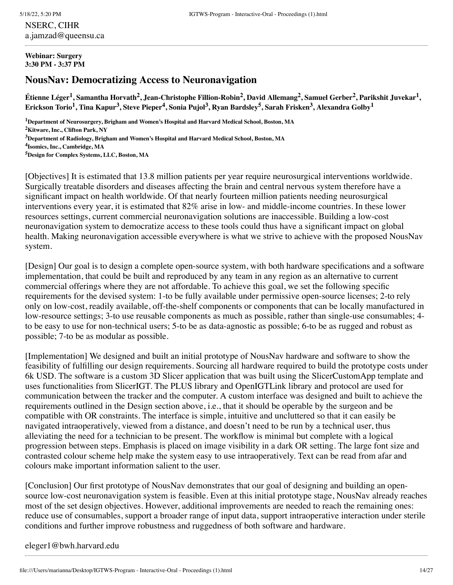NSERC, CIHR a.jamzad@queensu.ca

#### **Webinar: Surgery 3:30 PM - 3:37 PM**

# **NousNav: Democratizing Access to Neuronavigation**

Étienne Léger<sup>1</sup>, Samantha Horvath<sup>2</sup>, Jean-Christophe Fillion-Robin<sup>2</sup>, David Allemang<sup>2</sup>, Samuel Gerber<sup>2</sup>, Parikshit Juvekar<sup>1</sup>, Erickson Torio $^1$ , Tina Kapur $^3$ , Steve Pieper $^4$ , Sonia Pujol $^3$ , Ryan Bardsley $^5$ , Sarah Frisken $^3$ , Alexandra Golby $^1$ 

**Department of Neurosurgery, Brigham and Women's Hospital and Harvard Medical School, Boston, MA Kitware, Inc., Clifton Park, NY Department of Radiology, Brigham and Women's Hospital and Harvard Medical School, Boston, MA Isomics, Inc., Cambridge, MA Design for Complex Systems, LLC, Boston, MA**

[Objectives] It is estimated that 13.8 million patients per year require neurosurgical interventions worldwide. Surgically treatable disorders and diseases affecting the brain and central nervous system therefore have a significant impact on health worldwide. Of that nearly fourteen million patients needing neurosurgical interventions every year, it is estimated that 82% arise in low- and middle-income countries. In these lower resources settings, current commercial neuronavigation solutions are inaccessible. Building a low-cost neuronavigation system to democratize access to these tools could thus have a significant impact on global health. Making neuronavigation accessible everywhere is what we strive to achieve with the proposed NousNav system.

[Design] Our goal is to design a complete open-source system, with both hardware specifications and a software implementation, that could be built and reproduced by any team in any region as an alternative to current commercial offerings where they are not affordable. To achieve this goal, we set the following specific requirements for the devised system: 1-to be fully available under permissive open-source licenses; 2-to rely only on low-cost, readily available, off-the-shelf components or components that can be locally manufactured in low-resource settings; 3-to use reusable components as much as possible, rather than single-use consumables; 4 to be easy to use for non-technical users; 5-to be as data-agnostic as possible; 6-to be as rugged and robust as possible; 7-to be as modular as possible.

[Implementation] We designed and built an initial prototype of NousNav hardware and software to show the feasibility of fulfilling our design requirements. Sourcing all hardware required to build the prototype costs under 6k USD. The software is a custom 3D Slicer application that was built using the SlicerCustomApp template and uses functionalities from SlicerIGT. The PLUS library and OpenIGTLink library and protocol are used for communication between the tracker and the computer. A custom interface was designed and built to achieve the requirements outlined in the Design section above, i.e., that it should be operable by the surgeon and be compatible with OR constraints. The interface is simple, intuitive and uncluttered so that it can easily be navigated intraoperatively, viewed from a distance, and doesn't need to be run by a technical user, thus alleviating the need for a technician to be present. The workflow is minimal but complete with a logical progression between steps. Emphasis is placed on image visibility in a dark OR setting. The large font size and contrasted colour scheme help make the system easy to use intraoperatively. Text can be read from afar and colours make important information salient to the user.

[Conclusion] Our first prototype of NousNav demonstrates that our goal of designing and building an opensource low-cost neuronavigation system is feasible. Even at this initial prototype stage, NousNav already reaches most of the set design objectives. However, additional improvements are needed to reach the remaining ones: reduce use of consumables, support a broader range of input data, support intraoperative interaction under sterile conditions and further improve robustness and ruggedness of both software and hardware.

### eleger1@bwh.harvard.edu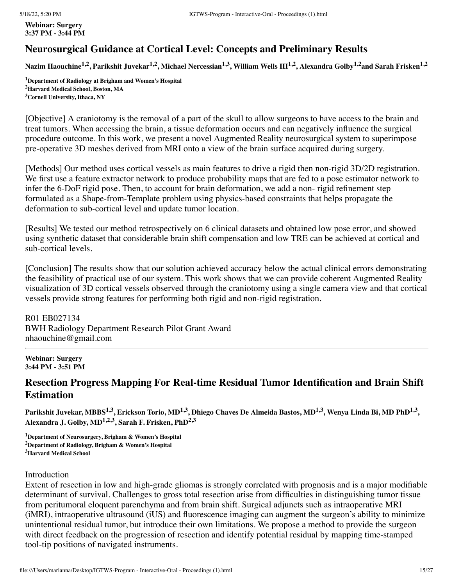**Webinar: Surgery 3:37 PM - 3:44 PM**

# **Neurosurgical Guidance at Cortical Level: Concepts and Preliminary Results**

Nazim Haouchine<sup>1,2</sup>, Parikshit Juvekar<sup>1,2</sup>, Michael Nercessian<sup>1,3</sup>, William Wells III<sup>1,2</sup>, Alexandra Golby<sup>1,2</sup>and Sarah Frisken<sup>1,2</sup>

**<sup>1</sup>Department of Radiology at Brigham and Women's Hospital <sup>2</sup>Harvard Medical School, Boston, MA <sup>3</sup>Cornell University, Ithaca, NY**

[Objective] A craniotomy is the removal of a part of the skull to allow surgeons to have access to the brain and treat tumors. When accessing the brain, a tissue deformation occurs and can negatively influence the surgical procedure outcome. In this work, we present a novel Augmented Reality neurosurgical system to superimpose pre-operative 3D meshes derived from MRI onto a view of the brain surface acquired during surgery.

[Methods] Our method uses cortical vessels as main features to drive a rigid then non-rigid 3D/2D registration. We first use a feature extractor network to produce probability maps that are fed to a pose estimator network to infer the 6-DoF rigid pose. Then, to account for brain deformation, we add a non- rigid refinement step formulated as a Shape-from-Template problem using physics-based constraints that helps propagate the deformation to sub-cortical level and update tumor location.

[Results] We tested our method retrospectively on 6 clinical datasets and obtained low pose error, and showed using synthetic dataset that considerable brain shift compensation and low TRE can be achieved at cortical and sub-cortical levels.

[Conclusion] The results show that our solution achieved accuracy below the actual clinical errors demonstrating the feasibility of practical use of our system. This work shows that we can provide coherent Augmented Reality visualization of 3D cortical vessels observed through the craniotomy using a single camera view and that cortical vessels provide strong features for performing both rigid and non-rigid registration.

R01 EB027134 BWH Radiology Department Research Pilot Grant Award nhaouchine@gmail.com

### **Webinar: Surgery 3:44 PM - 3:51 PM**

# **Resection Progress Mapping For Real-time Residual Tumor Identification and Brain Shift Estimation**

Parikshit Juvekar, MBBS $^{1,3}$ , Erickson Torio, MD $^{1,3}$ , Dhiego Chaves De Almeida Bastos, MD $^{1,3}$ , Wenya Linda Bi, MD PhD $^{1,3}$ , **Alexandra J. Golby, MD 1,2,3 , Sarah F. Frisken, PhD 2,3**

**<sup>1</sup>Department of Neurosurgery, Brigham & Women's Hospital <sup>2</sup>Department of Radiology, Brigham & Women's Hospital <sup>3</sup>Harvard Medical School**

### Introduction

Extent of resection in low and high-grade gliomas is strongly correlated with prognosis and is a major modifiable determinant of survival. Challenges to gross total resection arise from difficulties in distinguishing tumor tissue from peritumoral eloquent parenchyma and from brain shift. Surgical adjuncts such as intraoperative MRI (iMRI), intraoperative ultrasound (iUS) and fluorescence imaging can augment the surgeon's ability to minimize unintentional residual tumor, but introduce their own limitations. We propose a method to provide the surgeon with direct feedback on the progression of resection and identify potential residual by mapping time-stamped tool-tip positions of navigated instruments.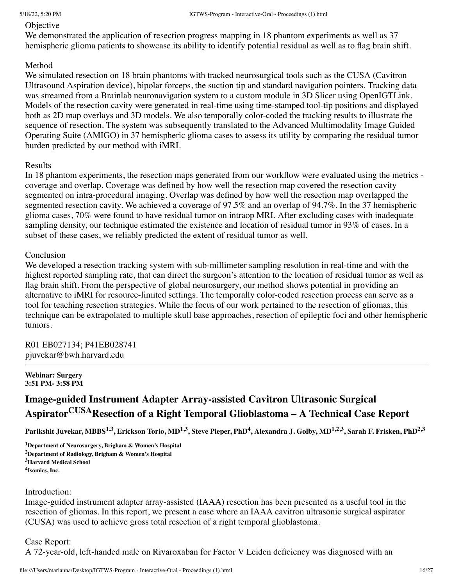### **Objective**

We demonstrated the application of resection progress mapping in 18 phantom experiments as well as 37 hemispheric glioma patients to showcase its ability to identify potential residual as well as to flag brain shift.

### Method

We simulated resection on 18 brain phantoms with tracked neurosurgical tools such as the CUSA (Cavitron Ultrasound Aspiration device), bipolar forceps, the suction tip and standard navigation pointers. Tracking data was streamed from a Brainlab neuronavigation system to a custom module in 3D Slicer using OpenIGTLink. Models of the resection cavity were generated in real-time using time-stamped tool-tip positions and displayed both as 2D map overlays and 3D models. We also temporally color-coded the tracking results to illustrate the sequence of resection. The system was subsequently translated to the Advanced Multimodality Image Guided Operating Suite (AMIGO) in 37 hemispheric glioma cases to assess its utility by comparing the residual tumor burden predicted by our method with iMRI.

### Results

In 18 phantom experiments, the resection maps generated from our workflow were evaluated using the metrics coverage and overlap. Coverage was defined by how well the resection map covered the resection cavity segmented on intra-procedural imaging. Overlap was defined by how well the resection map overlapped the segmented resection cavity. We achieved a coverage of 97.5% and an overlap of 94.7%. In the 37 hemispheric glioma cases, 70% were found to have residual tumor on intraop MRI. After excluding cases with inadequate sampling density, our technique estimated the existence and location of residual tumor in 93% of cases. In a subset of these cases, we reliably predicted the extent of residual tumor as well.

### Conclusion

We developed a resection tracking system with sub-millimeter sampling resolution in real-time and with the highest reported sampling rate, that can direct the surgeon's attention to the location of residual tumor as well as flag brain shift. From the perspective of global neurosurgery, our method shows potential in providing an alternative to iMRI for resource-limited settings. The temporally color-coded resection process can serve as a tool for teaching resection strategies. While the focus of our work pertained to the resection of gliomas, this technique can be extrapolated to multiple skull base approaches, resection of epileptic foci and other hemispheric tumors.

R01 EB027134; P41EB028741 pjuvekar@bwh.harvard.edu

#### **Webinar: Surgery 3:51 PM- 3:58 PM**

# **Image-guided Instrument Adapter Array-assisted Cavitron Ultrasonic Surgical AspiratorCUSAResection of a Right Temporal Glioblastoma – A Technical Case Report**

Parikshit Juvekar, MBBS<sup>1,3</sup>, Erickson Torio, MD<sup>1,3</sup>, Steve Pieper, PhD<sup>4</sup>, Alexandra J. Golby, MD<sup>1,2,3</sup>, Sarah F. Frisken, PhD<sup>2,3</sup>

**Department of Neurosurgery, Brigham & Women's Hospital Department of Radiology, Brigham & Women's Hospital Harvard Medical School Isomics, Inc.**

### Introduction:

Image-guided instrument adapter array-assisted (IAAA) resection has been presented as a useful tool in the resection of gliomas. In this report, we present a case where an IAAA cavitron ultrasonic surgical aspirator (CUSA) was used to achieve gross total resection of a right temporal glioblastoma.

### Case Report:

A 72-year-old, left-handed male on Rivaroxaban for Factor V Leiden deficiency was diagnosed with an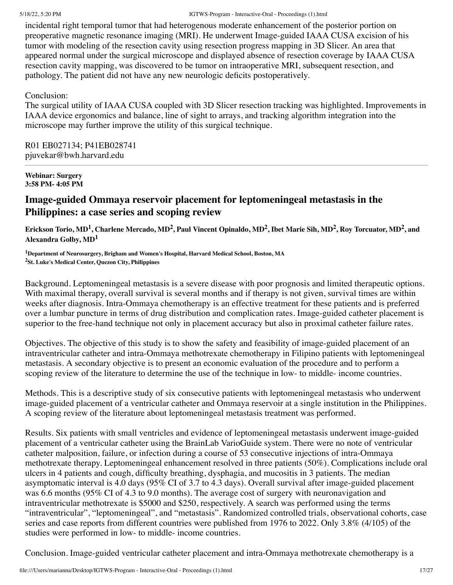incidental right temporal tumor that had heterogenous moderate enhancement of the posterior portion on preoperative magnetic resonance imaging (MRI). He underwent Image-guided IAAA CUSA excision of his tumor with modeling of the resection cavity using resection progress mapping in 3D Slicer. An area that appeared normal under the surgical microscope and displayed absence of resection coverage by IAAA CUSA resection cavity mapping, was discovered to be tumor on intraoperative MRI, subsequent resection, and pathology. The patient did not have any new neurologic deficits postoperatively.

# Conclusion:

The surgical utility of IAAA CUSA coupled with 3D Slicer resection tracking was highlighted. Improvements in IAAA device ergonomics and balance, line of sight to arrays, and tracking algorithm integration into the microscope may further improve the utility of this surgical technique.

R01 EB027134; P41EB028741 pjuvekar@bwh.harvard.edu

#### **Webinar: Surgery 3:58 PM- 4:05 PM**

# **Image-guided Ommaya reservoir placement for leptomeningeal metastasis in the Philippines: a case series and scoping review**

Erickson Torio, MD<sup>1</sup>, Charlene Mercado, MD<sup>2</sup>, Paul Vincent Opinaldo, MD<sup>2</sup>, Ibet Marie Sih, MD<sup>2</sup>, Roy Torcuator, MD<sup>2</sup>, and **Alexandra Golby, MD 1**

**<sup>1</sup>Department of Neurosurgery, Brigham and Women's Hospital, Harvard Medical School, Boston, MA <sup>2</sup>St. Luke's Medical Center, Quezon City, Philippines**

Background. Leptomeningeal metastasis is a severe disease with poor prognosis and limited therapeutic options. With maximal therapy, overall survival is several months and if therapy is not given, survival times are within weeks after diagnosis. Intra-Ommaya chemotherapy is an effective treatment for these patients and is preferred over a lumbar puncture in terms of drug distribution and complication rates. Image-guided catheter placement is superior to the free-hand technique not only in placement accuracy but also in proximal catheter failure rates.

Objectives. The objective of this study is to show the safety and feasibility of image-guided placement of an intraventricular catheter and intra-Ommaya methotrexate chemotherapy in Filipino patients with leptomeningeal metastasis. A secondary objective is to present an economic evaluation of the procedure and to perform a scoping review of the literature to determine the use of the technique in low- to middle- income countries.

Methods. This is a descriptive study of six consecutive patients with leptomeningeal metastasis who underwent image-guided placement of a ventricular catheter and Ommaya reservoir at a single institution in the Philippines. A scoping review of the literature about leptomeningeal metastasis treatment was performed.

Results. Six patients with small ventricles and evidence of leptomeningeal metastasis underwent image-guided placement of a ventricular catheter using the BrainLab VarioGuide system. There were no note of ventricular catheter malposition, failure, or infection during a course of 53 consecutive injections of intra-Ommaya methotrexate therapy. Leptomeningeal enhancement resolved in three patients (50%). Complications include oral ulcers in 4 patients and cough, difficulty breathing, dysphagia, and mucositis in 3 patients. The median asymptomatic interval is 4.0 days (95% CI of 3.7 to 4.3 days). Overall survival after image-guided placement was 6.6 months (95% CI of 4.3 to 9.0 months). The average cost of surgery with neuronavigation and intraventricular methotrexate is \$5000 and \$250, respectively. A search was performed using the terms "intraventricular", "leptomeningeal", and "metastasis". Randomized controlled trials, observational cohorts, case series and case reports from different countries were published from 1976 to 2022. Only 3.8% (4/105) of the studies were performed in low- to middle- income countries.

Conclusion. Image-guided ventricular catheter placement and intra-Ommaya methotrexate chemotherapy is a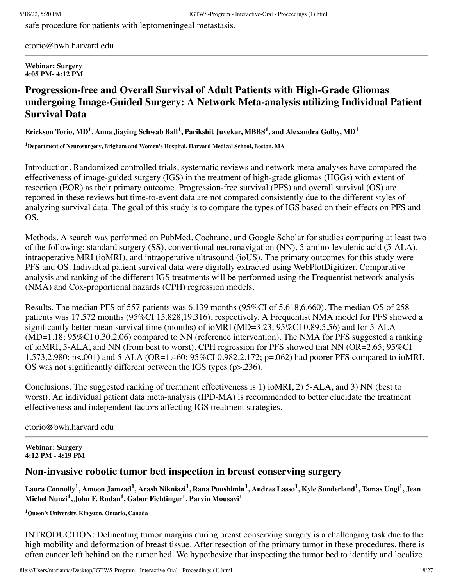safe procedure for patients with leptomeningeal metastasis.

etorio@bwh.harvard.edu

#### **Webinar: Surgery 4:05 PM- 4:12 PM**

# **Progression-free and Overall Survival of Adult Patients with High-Grade Gliomas undergoing Image-Guided Surgery: A Network Meta-analysis utilizing Individual Patient Survival Data**

Erickson Torio, MD<sup>1</sup>, Anna Jiaying Schwab Ball<sup>1</sup>, Parikshit Juvekar, MBBS<sup>1</sup>, and Alexandra Golby, MD<sup>1</sup>

**<sup>1</sup>Department of Neurosurgery, Brigham and Women's Hospital, Harvard Medical School, Boston, MA**

Introduction. Randomized controlled trials, systematic reviews and network meta-analyses have compared the effectiveness of image-guided surgery (IGS) in the treatment of high-grade gliomas (HGGs) with extent of resection (EOR) as their primary outcome. Progression-free survival (PFS) and overall survival (OS) are reported in these reviews but time-to-event data are not compared consistently due to the different styles of analyzing survival data. The goal of this study is to compare the types of IGS based on their effects on PFS and OS.

Methods. A search was performed on PubMed, Cochrane, and Google Scholar for studies comparing at least two of the following: standard surgery (SS), conventional neuronavigation (NN), 5-amino-levulenic acid (5-ALA), intraoperative MRI (ioMRI), and intraoperative ultrasound (ioUS). The primary outcomes for this study were PFS and OS. Individual patient survival data were digitally extracted using WebPlotDigitizer. Comparative analysis and ranking of the different IGS treatments will be performed using the Frequentist network analysis (NMA) and Cox-proportional hazards (CPH) regression models.

Results. The median PFS of 557 patients was 6.139 months (95%CI of 5.618,6.660). The median OS of 258 patients was 17.572 months (95%CI 15.828,19.316), respectively. A Frequentist NMA model for PFS showed a significantly better mean survival time (months) of ioMRI (MD=3.23; 95%CI 0.89,5.56) and for 5-ALA (MD=1.18; 95%CI 0.30,2.06) compared to NN (reference intervention). The NMA for PFS suggested a ranking of ioMRI, 5-ALA, and NN (from best to worst). CPH regression for PFS showed that NN (OR=2.65; 95%CI 1.573,2.980; p<.001) and 5-ALA (OR=1.460; 95%CI 0.982,2.172; p=.062) had poorer PFS compared to ioMRI. OS was not significantly different between the IGS types (p>.236).

Conclusions. The suggested ranking of treatment effectiveness is 1) ioMRI, 2) 5-ALA, and 3) NN (best to worst). An individual patient data meta-analysis (IPD-MA) is recommended to better elucidate the treatment effectiveness and independent factors affecting IGS treatment strategies.

etorio@bwh.harvard.edu

**Webinar: Surgery 4:12 PM - 4:19 PM**

# **Non-invasive robotic tumor bed inspection in breast conserving surgery**

Laura Connolly<sup>1</sup>, Amoon Jamzad<sup>1</sup>, Arash Nikniazi<sup>1</sup>, Rana Poushimin<sup>1</sup>, Andras Lasso<sup>1</sup>, Kyle Sunderland<sup>1</sup>, Tamas Ungi<sup>1</sup>, Jean **Michel Nunzi 1 , John F. Rudan 1 , Gabor Fichtinger 1 , Parvin Mousavi 1**

**<sup>1</sup>Queen's University, Kingston, Ontario, Canada**

INTRODUCTION: Delineating tumor margins during breast conserving surgery is a challenging task due to the high mobility and deformation of breast tissue. After resection of the primary tumor in these procedures, there is often cancer left behind on the tumor bed. We hypothesize that inspecting the tumor bed to identify and localize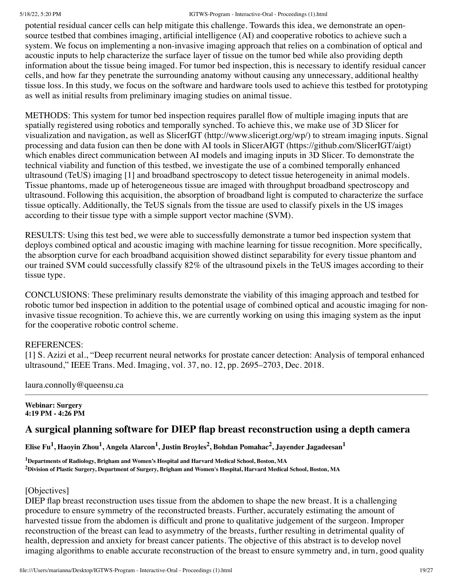potential residual cancer cells can help mitigate this challenge. Towards this idea, we demonstrate an opensource testbed that combines imaging, artificial intelligence (AI) and cooperative robotics to achieve such a system. We focus on implementing a non-invasive imaging approach that relies on a combination of optical and acoustic inputs to help characterize the surface layer of tissue on the tumor bed while also providing depth information about the tissue being imaged. For tumor bed inspection, this is necessary to identify residual cancer cells, and how far they penetrate the surrounding anatomy without causing any unnecessary, additional healthy tissue loss. In this study, we focus on the software and hardware tools used to achieve this testbed for prototyping as well as initial results from preliminary imaging studies on animal tissue.

METHODS: This system for tumor bed inspection requires parallel flow of multiple imaging inputs that are spatially registered using robotics and temporally synched. To achieve this, we make use of 3D Slicer for visualization and navigation, as well as SlicerIGT (http://www.slicerigt.org/wp/) to stream imaging inputs. Signal processing and data fusion can then be done with AI tools in SlicerAIGT (https://github.com/SlicerIGT/aigt) which enables direct communication between AI models and imaging inputs in 3D Slicer. To demonstrate the technical viability and function of this testbed, we investigate the use of a combined temporally enhanced ultrasound (TeUS) imaging [1] and broadband spectroscopy to detect tissue heterogeneity in animal models. Tissue phantoms, made up of heterogeneous tissue are imaged with throughput broadband spectroscopy and ultrasound. Following this acquisition, the absorption of broadband light is computed to characterize the surface tissue optically. Additionally, the TeUS signals from the tissue are used to classify pixels in the US images according to their tissue type with a simple support vector machine (SVM).

RESULTS: Using this test bed, we were able to successfully demonstrate a tumor bed inspection system that deploys combined optical and acoustic imaging with machine learning for tissue recognition. More specifically, the absorption curve for each broadband acquisition showed distinct separability for every tissue phantom and our trained SVM could successfully classify 82% of the ultrasound pixels in the TeUS images according to their tissue type.

CONCLUSIONS: These preliminary results demonstrate the viability of this imaging approach and testbed for robotic tumor bed inspection in addition to the potential usage of combined optical and acoustic imaging for noninvasive tissue recognition. To achieve this, we are currently working on using this imaging system as the input for the cooperative robotic control scheme.

### REFERENCES:

[1] S. Azizi et al., "Deep recurrent neural networks for prostate cancer detection: Analysis of temporal enhanced ultrasound," IEEE Trans. Med. Imaging, vol. 37, no. 12, pp. 2695–2703, Dec. 2018.

laura.connolly@queensu.ca

**Webinar: Surgery 4:19 PM - 4:26 PM**

# **A surgical planning software for DIEP flap breast reconstruction using a depth camera**

Elise Fu $^1$ , Haoyin Zhou $^1$ , Angela Alarcon $^1$ , Justin Broyles $^2$ , Bohdan Pomahac $^2$ , Jayender Jagadeesan $^1$ 

**<sup>1</sup>Departments of Radiology, Brigham and Women's Hospital and Harvard Medical School, Boston, MA** <sup>2</sup>Division of Plastic Surgery, Department of Surgery, Brigham and Women's Hospital, Harvard Medical School, Boston, MA

### [Objectives]

DIEP flap breast reconstruction uses tissue from the abdomen to shape the new breast. It is a challenging procedure to ensure symmetry of the reconstructed breasts. Further, accurately estimating the amount of harvested tissue from the abdomen is difficult and prone to qualitative judgement of the surgeon. Improper reconstruction of the breast can lead to asymmetry of the breasts, further resulting in detrimental quality of health, depression and anxiety for breast cancer patients. The objective of this abstract is to develop novel imaging algorithms to enable accurate reconstruction of the breast to ensure symmetry and, in turn, good quality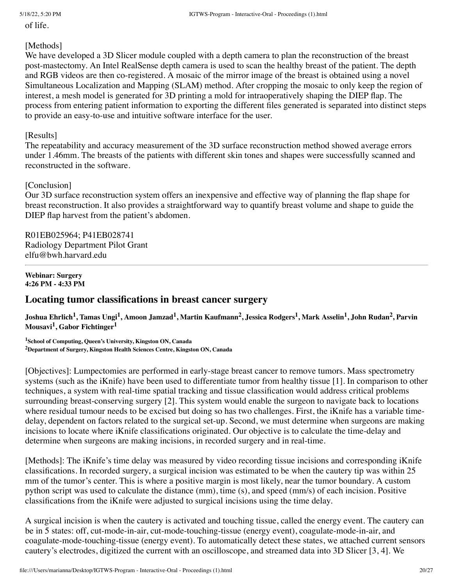of life.

### [Methods]

We have developed a 3D Slicer module coupled with a depth camera to plan the reconstruction of the breast post-mastectomy. An Intel RealSense depth camera is used to scan the healthy breast of the patient. The depth and RGB videos are then co-registered. A mosaic of the mirror image of the breast is obtained using a novel Simultaneous Localization and Mapping (SLAM) method. After cropping the mosaic to only keep the region of interest, a mesh model is generated for 3D printing a mold for intraoperatively shaping the DIEP flap. The process from entering patient information to exporting the different files generated is separated into distinct steps to provide an easy-to-use and intuitive software interface for the user.

### [Results]

The repeatability and accuracy measurement of the 3D surface reconstruction method showed average errors under 1.46mm. The breasts of the patients with different skin tones and shapes were successfully scanned and reconstructed in the software.

# [Conclusion]

Our 3D surface reconstruction system offers an inexpensive and effective way of planning the flap shape for breast reconstruction. It also provides a straightforward way to quantify breast volume and shape to guide the DIEP flap harvest from the patient's abdomen.

R01EB025964; P41EB028741 Radiology Department Pilot Grant elfu@bwh.harvard.edu

#### **Webinar: Surgery 4:26 PM - 4:33 PM**

# **Locating tumor classifications in breast cancer surgery**

Joshua Ehrlich<sup>1</sup>, Tamas Ungi<sup>1</sup>, Amoon Jamzad<sup>1</sup>, Martin Kaufmann<sup>2</sup>, Jessica Rodgers<sup>1</sup>, Mark Asselin<sup>1</sup>, John Rudan<sup>2</sup>, Parvin **Mousavi 1 , Gabor Fichtinger 1**

**<sup>1</sup>School of Computing, Queen's University, Kingston ON, Canada <sup>2</sup>Department of Surgery, Kingston Health Sciences Centre, Kingston ON, Canada**

[Objectives]: Lumpectomies are performed in early-stage breast cancer to remove tumors. Mass spectrometry systems (such as the iKnife) have been used to differentiate tumor from healthy tissue [1]. In comparison to other techniques, a system with real-time spatial tracking and tissue classification would address critical problems surrounding breast-conserving surgery [2]. This system would enable the surgeon to navigate back to locations where residual tumour needs to be excised but doing so has two challenges. First, the iKnife has a variable timedelay, dependent on factors related to the surgical set-up. Second, we must determine when surgeons are making incisions to locate where iKnife classifications originated. Our objective is to calculate the time-delay and determine when surgeons are making incisions, in recorded surgery and in real-time.

[Methods]: The iKnife's time delay was measured by video recording tissue incisions and corresponding iKnife classifications. In recorded surgery, a surgical incision was estimated to be when the cautery tip was within 25 mm of the tumor's center. This is where a positive margin is most likely, near the tumor boundary. A custom python script was used to calculate the distance (mm), time (s), and speed (mm/s) of each incision. Positive classifications from the iKnife were adjusted to surgical incisions using the time delay.

A surgical incision is when the cautery is activated and touching tissue, called the energy event. The cautery can be in 5 states: off, cut-mode-in-air, cut-mode-touching-tissue (energy event), coagulate-mode-in-air, and coagulate-mode-touching-tissue (energy event). To automatically detect these states, we attached current sensors cautery's electrodes, digitized the current with an oscilloscope, and streamed data into 3D Slicer [3, 4]. We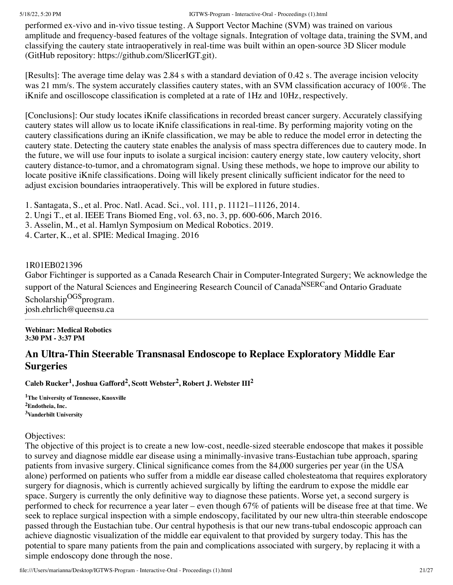performed ex-vivo and in-vivo tissue testing. A Support Vector Machine (SVM) was trained on various amplitude and frequency-based features of the voltage signals. Integration of voltage data, training the SVM, and classifying the cautery state intraoperatively in real-time was built within an open-source 3D Slicer module (GitHub repository: https://github.com/SlicerIGT.git).

[Results]: The average time delay was 2.84 s with a standard deviation of 0.42 s. The average incision velocity was 21 mm/s. The system accurately classifies cautery states, with an SVM classification accuracy of 100%. The iKnife and oscilloscope classification is completed at a rate of 1Hz and 10Hz, respectively.

[Conclusions]: Our study locates iKnife classifications in recorded breast cancer surgery. Accurately classifying cautery states will allow us to locate iKnife classifications in real-time. By performing majority voting on the cautery classifications during an iKnife classification, we may be able to reduce the model error in detecting the cautery state. Detecting the cautery state enables the analysis of mass spectra differences due to cautery mode. In the future, we will use four inputs to isolate a surgical incision: cautery energy state, low cautery velocity, short cautery distance-to-tumor, and a chromatogram signal. Using these methods, we hope to improve our ability to locate positive iKnife classifications. Doing will likely present clinically sufficient indicator for the need to adjust excision boundaries intraoperatively. This will be explored in future studies.

1. Santagata, S., et al. Proc. Natl. Acad. Sci., vol. 111, p. 11121–11126, 2014.

2. Ungi T., et al. IEEE Trans Biomed Eng, vol. 63, no. 3, pp. 600-606, March 2016.

3. Asselin, M., et al. Hamlyn Symposium on Medical Robotics. 2019.

4. Carter, K., et al. SPIE: Medical Imaging. 2016

# 1R01EB021396

Gabor Fichtinger is supported as a Canada Research Chair in Computer-Integrated Surgery; We acknowledge the support of the Natural Sciences and Engineering Research Council of Canada<sup>NSERC</sup>and Ontario Graduate Scholarship<sup>OGS</sup>program. josh.ehrlich@queensu.ca

**Webinar: Medical Robotics 3:30 PM - 3:37 PM**

# **An Ultra-Thin Steerable Transnasal Endoscope to Replace Exploratory Middle Ear Surgeries**

**Caleb Rucker 1 , Joshua Gafford 2 , Scott Webster 2 , Robert J. Webster III 2**

**<sup>1</sup>The University of Tennessee, Knoxville <sup>2</sup>Endotheia, Inc. <sup>3</sup>Vanderbilt University**

# Objectives:

The objective of this project is to create a new low-cost, needle-sized steerable endoscope that makes it possible to survey and diagnose middle ear disease using a minimally-invasive trans-Eustachian tube approach, sparing patients from invasive surgery. Clinical significance comes from the 84,000 surgeries per year (in the USA alone) performed on patients who suffer from a middle ear disease called cholesteatoma that requires exploratory surgery for diagnosis, which is currently achieved surgically by lifting the eardrum to expose the middle ear space. Surgery is currently the only definitive way to diagnose these patients. Worse yet, a second surgery is performed to check for recurrence a year later – even though 67% of patients will be disease free at that time. We seek to replace surgical inspection with a simple endoscopy, facilitated by our new ultra-thin steerable endoscope passed through the Eustachian tube. Our central hypothesis is that our new trans-tubal endoscopic approach can achieve diagnostic visualization of the middle ear equivalent to that provided by surgery today. This has the potential to spare many patients from the pain and complications associated with surgery, by replacing it with a simple endoscopy done through the nose.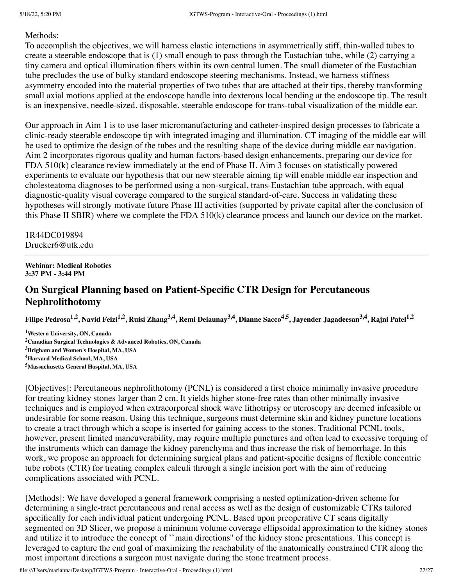### Methods:

To accomplish the objectives, we will harness elastic interactions in asymmetrically stiff, thin-walled tubes to create a steerable endoscope that is (1) small enough to pass through the Eustachian tube, while (2) carrying a tiny camera and optical illumination fibers within its own central lumen. The small diameter of the Eustachian tube precludes the use of bulky standard endoscope steering mechanisms. Instead, we harness stiffness asymmetry encoded into the material properties of two tubes that are attached at their tips, thereby transforming small axial motions applied at the endoscope handle into dexterous local bending at the endoscope tip. The result is an inexpensive, needle-sized, disposable, steerable endoscope for trans-tubal visualization of the middle ear.

Our approach in Aim 1 is to use laser micromanufacturing and catheter-inspired design processes to fabricate a clinic-ready steerable endoscope tip with integrated imaging and illumination. CT imaging of the middle ear will be used to optimize the design of the tubes and the resulting shape of the device during middle ear navigation. Aim 2 incorporates rigorous quality and human factors-based design enhancements, preparing our device for FDA 510(k) clearance review immediately at the end of Phase II. Aim 3 focuses on statistically powered experiments to evaluate our hypothesis that our new steerable aiming tip will enable middle ear inspection and cholesteatoma diagnoses to be performed using a non-surgical, trans-Eustachian tube approach, with equal diagnostic-quality visual coverage compared to the surgical standard-of-care. Success in validating these hypotheses will strongly motivate future Phase III activities (supported by private capital after the conclusion of this Phase II SBIR) where we complete the FDA 510(k) clearance process and launch our device on the market.

1R44DC019894 Drucker6@utk.edu

### **Webinar: Medical Robotics 3:37 PM - 3:44 PM**

# **On Surgical Planning based on Patient-Specific CTR Design for Percutaneous Nephrolithotomy**

Filipe Pedrosa<sup>1,2</sup>, Navid Feizi<sup>1,2</sup>, Ruisi Zhang<sup>3,4</sup>, Remi Delaunay<sup>3,4</sup>, Dianne Sacco<sup>4,5</sup>, Jayender Jagadeesan<sup>3,4</sup>, Rajni Patel<sup>1,2</sup>

**Western University, ON, Canada Canadian Surgical Technologies & Advanced Robotics, ON, Canada Brigham and Women's Hospital, MA, USA Harvard Medical School, MA, USA Massachusetts General Hospital, MA, USA**

[Objectives]: Percutaneous nephrolithotomy (PCNL) is considered a first choice minimally invasive procedure for treating kidney stones larger than 2 cm. It yields higher stone-free rates than other minimally invasive techniques and is employed when extracorporeal shock wave lithotripsy or uteroscopy are deemed infeasible or undesirable for some reason. Using this technique, surgeons must determine skin and kidney puncture locations to create a tract through which a scope is inserted for gaining access to the stones. Traditional PCNL tools, however, present limited maneuverability, may require multiple punctures and often lead to excessive torquing of the instruments which can damage the kidney parenchyma and thus increase the risk of hemorrhage. In this work, we propose an approach for determining surgical plans and patient-specific designs of flexible concentric tube robots (CTR) for treating complex calculi through a single incision port with the aim of reducing complications associated with PCNL.

[Methods]: We have developed a general framework comprising a nested optimization-driven scheme for determining a single-tract percutaneous and renal access as well as the design of customizable CTRs tailored specifically for each individual patient undergoing PCNL. Based upon preoperative CT scans digitally segmented on 3D Slicer, we propose a minimum volume coverage ellipsoidal approximation to the kidney stones and utilize it to introduce the concept of ``main directions'' of the kidney stone presentations. This concept is leveraged to capture the end goal of maximizing the reachability of the anatomically constrained CTR along the most important directions a surgeon must navigate during the stone treatment process.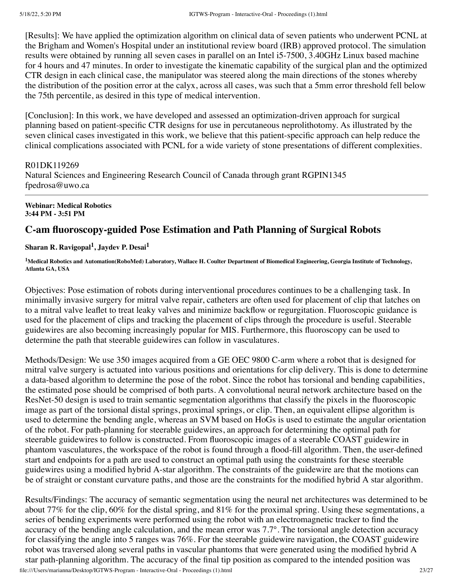[Results]: We have applied the optimization algorithm on clinical data of seven patients who underwent PCNL at the Brigham and Women's Hospital under an institutional review board (IRB) approved protocol. The simulation results were obtained by running all seven cases in parallel on an Intel i5-7500, 3.40GHz Linux based machine for 4 hours and 47 minutes. In order to investigate the kinematic capability of the surgical plan and the optimized CTR design in each clinical case, the manipulator was steered along the main directions of the stones whereby the distribution of the position error at the calyx, across all cases, was such that a 5mm error threshold fell below the 75th percentile, as desired in this type of medical intervention.

[Conclusion]: In this work, we have developed and assessed an optimization-driven approach for surgical planning based on patient-specific CTR designs for use in percutaneous neprolithotomy. As illustrated by the seven clinical cases investigated in this work, we believe that this patient-specific approach can help reduce the clinical complications associated with PCNL for a wide variety of stone presentations of different complexities.

### R01DK119269

Natural Sciences and Engineering Research Council of Canada through grant RGPIN1345 fpedrosa@uwo.ca

#### **Webinar: Medical Robotics 3:44 PM - 3:51 PM**

# **C-am fluoroscopy-guided Pose Estimation and Path Planning of Surgical Robots**

### **Sharan R. Ravigopal 1 , Jaydev P. Desai 1**

<sup>1</sup>Medical Robotics and Automation(RoboMed) Laboratory, Wallace H. Coulter Department of Biomedical Engineering, Georgia Institute of Technology, **Atlanta GA, USA**

Objectives: Pose estimation of robots during interventional procedures continues to be a challenging task. In minimally invasive surgery for mitral valve repair, catheters are often used for placement of clip that latches on to a mitral valve leaflet to treat leaky valves and minimize backflow or regurgitation. Fluoroscopic guidance is used for the placement of clips and tracking the placement of clips through the procedure is useful. Steerable guidewires are also becoming increasingly popular for MIS. Furthermore, this fluoroscopy can be used to determine the path that steerable guidewires can follow in vasculatures.

Methods/Design: We use 350 images acquired from a GE OEC 9800 C-arm where a robot that is designed for mitral valve surgery is actuated into various positions and orientations for clip delivery. This is done to determine a data-based algorithm to determine the pose of the robot. Since the robot has torsional and bending capabilities, the estimated pose should be comprised of both parts. A convolutional neural network architecture based on the ResNet-50 design is used to train semantic segmentation algorithms that classify the pixels in the fluoroscopic image as part of the torsional distal springs, proximal springs, or clip. Then, an equivalent ellipse algorithm is used to determine the bending angle, whereas an SVM based on HoGs is used to estimate the angular orientation of the robot. For path-planning for steerable guidewires, an approach for determining the optimal path for steerable guidewires to follow is constructed. From fluoroscopic images of a steerable COAST guidewire in phantom vasculatures, the workspace of the robot is found through a flood-fill algorithm. Then, the user-defined start and endpoints for a path are used to construct an optimal path using the constraints for these steerable guidewires using a modified hybrid A-star algorithm. The constraints of the guidewire are that the motions can be of straight or constant curvature paths, and those are the constraints for the modified hybrid A star algorithm.

Results/Findings: The accuracy of semantic segmentation using the neural net architectures was determined to be about 77% for the clip, 60% for the distal spring, and 81% for the proximal spring. Using these segmentations, a series of bending experiments were performed using the robot with an electromagnetic tracker to find the accuracy of the bending angle calculation, and the mean error was 7.7°. The torsional angle detection accuracy for classifying the angle into 5 ranges was 76%. For the steerable guidewire navigation, the COAST guidewire robot was traversed along several paths in vascular phantoms that were generated using the modified hybrid A star path-planning algorithm. The accuracy of the final tip position as compared to the intended position was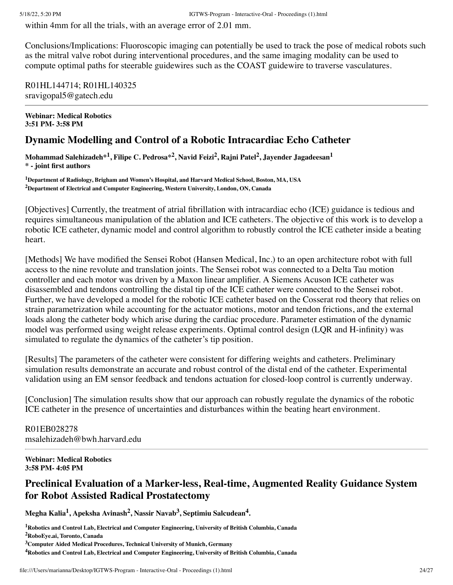within 4mm for all the trials, with an average error of 2.01 mm.

Conclusions/Implications: Fluoroscopic imaging can potentially be used to track the pose of medical robots such as the mitral valve robot during interventional procedures, and the same imaging modality can be used to compute optimal paths for steerable guidewires such as the COAST guidewire to traverse vasculatures.

R01HL144714; R01HL140325 sravigopal5@gatech.edu

**Webinar: Medical Robotics 3:51 PM- 3:58 PM**

# **Dynamic Modelling and Control of a Robotic Intracardiac Echo Catheter**

Mohammad Salehizadeh $^{\ast1}$ , Filipe C. Pedrosa $^{\ast2}$ , Navid Feizi $^2$ , Rajni Patel $^2$ , Jayender Jagadeesan $^1$ **\* - joint first authors**

**<sup>1</sup>Department of Radiology, Brigham and Women's Hospital, and Harvard Medical School, Boston, MA, USA <sup>2</sup>Department of Electrical and Computer Engineering, Western University, London, ON, Canada**

[Objectives] Currently, the treatment of atrial fibrillation with intracardiac echo (ICE) guidance is tedious and requires simultaneous manipulation of the ablation and ICE catheters. The objective of this work is to develop a robotic ICE catheter, dynamic model and control algorithm to robustly control the ICE catheter inside a beating heart.

[Methods] We have modified the Sensei Robot (Hansen Medical, Inc.) to an open architecture robot with full access to the nine revolute and translation joints. The Sensei robot was connected to a Delta Tau motion controller and each motor was driven by a Maxon linear amplifier. A Siemens Acuson ICE catheter was disassembled and tendons controlling the distal tip of the ICE catheter were connected to the Sensei robot. Further, we have developed a model for the robotic ICE catheter based on the Cosserat rod theory that relies on strain parametrization while accounting for the actuator motions, motor and tendon frictions, and the external loads along the catheter body which arise during the cardiac procedure. Parameter estimation of the dynamic model was performed using weight release experiments. Optimal control design (LQR and H-infinity) was simulated to regulate the dynamics of the catheter's tip position.

[Results] The parameters of the catheter were consistent for differing weights and catheters. Preliminary simulation results demonstrate an accurate and robust control of the distal end of the catheter. Experimental validation using an EM sensor feedback and tendons actuation for closed-loop control is currently underway.

[Conclusion] The simulation results show that our approach can robustly regulate the dynamics of the robotic ICE catheter in the presence of uncertainties and disturbances within the beating heart environment.

R01EB028278 msalehizadeh@bwh.harvard.edu

#### **Webinar: Medical Robotics 3:58 PM- 4:05 PM**

# **Preclinical Evaluation of a Marker-less, Real-time, Augmented Reality Guidance System for Robot Assisted Radical Prostatectomy**

**Megha Kalia 1 , Apeksha Avinash 2 , Nassir Navab 3 , Septimiu Salcudean 4 .**

**<sup>4</sup>Robotics and Control Lab, Electrical and Computer Engineering, University of British Columbia, Canada**

**<sup>1</sup>Robotics and Control Lab, Electrical and Computer Engineering, University of British Columbia, Canada <sup>2</sup>RoboEye.ai, Toronto, Canada**

**<sup>3</sup>Computer Aided Medical Procedures, Technical University of Munich, Germany**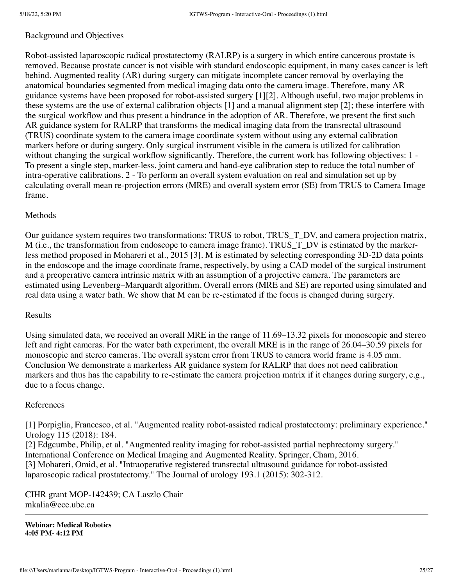# Background and Objectives

Robot-assisted laparoscopic radical prostatectomy (RALRP) is a surgery in which entire cancerous prostate is removed. Because prostate cancer is not visible with standard endoscopic equipment, in many cases cancer is left behind. Augmented reality (AR) during surgery can mitigate incomplete cancer removal by overlaying the anatomical boundaries segmented from medical imaging data onto the camera image. Therefore, many AR guidance systems have been proposed for robot-assisted surgery [1][2]. Although useful, two major problems in these systems are the use of external calibration objects [1] and a manual alignment step [2]; these interfere with the surgical workflow and thus present a hindrance in the adoption of AR. Therefore, we present the first such AR guidance system for RALRP that transforms the medical imaging data from the transrectal ultrasound (TRUS) coordinate system to the camera image coordinate system without using any external calibration markers before or during surgery. Only surgical instrument visible in the camera is utilized for calibration without changing the surgical workflow significantly. Therefore, the current work has following objectives: 1 -To present a single step, marker-less, joint camera and hand-eye calibration step to reduce the total number of intra-operative calibrations. 2 - To perform an overall system evaluation on real and simulation set up by calculating overall mean re-projection errors (MRE) and overall system error (SE) from TRUS to Camera Image frame.

# Methods

Our guidance system requires two transformations: TRUS to robot, TRUS\_T\_DV, and camera projection matrix, M (i.e., the transformation from endoscope to camera image frame). TRUS\_T\_DV is estimated by the markerless method proposed in Mohareri et al., 2015 [3]. M is estimated by selecting corresponding 3D-2D data points in the endoscope and the image coordinate frame, respectively, by using a CAD model of the surgical instrument and a preoperative camera intrinsic matrix with an assumption of a projective camera. The parameters are estimated using Levenberg–Marquardt algorithm. Overall errors (MRE and SE) are reported using simulated and real data using a water bath. We show that M can be re-estimated if the focus is changed during surgery.

### Results

Using simulated data, we received an overall MRE in the range of 11.69–13.32 pixels for monoscopic and stereo left and right cameras. For the water bath experiment, the overall MRE is in the range of 26.04–30.59 pixels for monoscopic and stereo cameras. The overall system error from TRUS to camera world frame is 4.05 mm. Conclusion We demonstrate a markerless AR guidance system for RALRP that does not need calibration markers and thus has the capability to re-estimate the camera projection matrix if it changes during surgery, e.g., due to a focus change.

# References

[1] Porpiglia, Francesco, et al. "Augmented reality robot-assisted radical prostatectomy: preliminary experience." Urology 115 (2018): 184. [2] Edgcumbe, Philip, et al. "Augmented reality imaging for robot-assisted partial nephrectomy surgery." International Conference on Medical Imaging and Augmented Reality. Springer, Cham, 2016. [3] Mohareri, Omid, et al. "Intraoperative registered transrectal ultrasound guidance for robot-assisted laparoscopic radical prostatectomy." The Journal of urology 193.1 (2015): 302-312.

CIHR grant MOP-142439; CA Laszlo Chair mkalia@ece.ubc.ca

**Webinar: Medical Robotics 4:05 PM- 4:12 PM**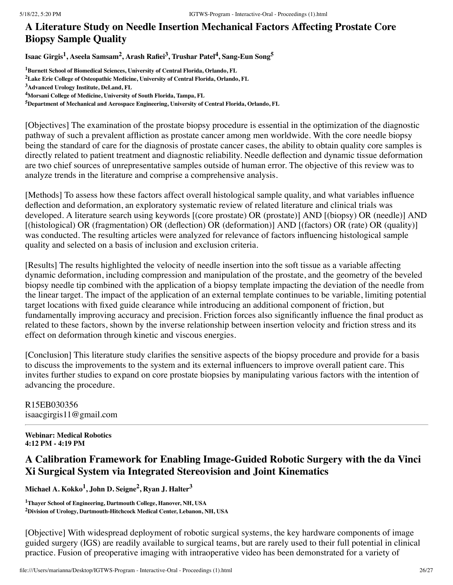# **A Literature Study on Needle Insertion Mechanical Factors Affecting Prostate Core Biopsy Sample Quality**

**Isaac Girgis 1 , Aseela Samsam<sup>2</sup> , Arash Rafiei 3 , Trushar Patel 4 , Sang-Eun Song 5**

**<sup>1</sup>Burnett School of Biomedical Sciences, University of Central Florida, Orlando, FL**

[Objectives] The examination of the prostate biopsy procedure is essential in the optimization of the diagnostic pathway of such a prevalent affliction as prostate cancer among men worldwide. With the core needle biopsy being the standard of care for the diagnosis of prostate cancer cases, the ability to obtain quality core samples is directly related to patient treatment and diagnostic reliability. Needle deflection and dynamic tissue deformation are two chief sources of unrepresentative samples outside of human error. The objective of this review was to analyze trends in the literature and comprise a comprehensive analysis.

[Methods] To assess how these factors affect overall histological sample quality, and what variables influence deflection and deformation, an exploratory systematic review of related literature and clinical trials was developed. A literature search using keywords [(core prostate) OR (prostate)] AND [(biopsy) OR (needle)] AND [(histological) OR (fragmentation) OR (deflection) OR (deformation)] AND [(factors) OR (rate) OR (quality)] was conducted. The resulting articles were analyzed for relevance of factors influencing histological sample quality and selected on a basis of inclusion and exclusion criteria.

[Results] The results highlighted the velocity of needle insertion into the soft tissue as a variable affecting dynamic deformation, including compression and manipulation of the prostate, and the geometry of the beveled biopsy needle tip combined with the application of a biopsy template impacting the deviation of the needle from the linear target. The impact of the application of an external template continues to be variable, limiting potential target locations with fixed guide clearance while introducing an additional component of friction, but fundamentally improving accuracy and precision. Friction forces also significantly influence the final product as related to these factors, shown by the inverse relationship between insertion velocity and friction stress and its effect on deformation through kinetic and viscous energies.

[Conclusion] This literature study clarifies the sensitive aspects of the biopsy procedure and provide for a basis to discuss the improvements to the system and its external influencers to improve overall patient care. This invites further studies to expand on core prostate biopsies by manipulating various factors with the intention of advancing the procedure.

# R15EB030356 isaacgirgis11@gmail.com

### **Webinar: Medical Robotics 4:12 PM - 4:19 PM**

# **A Calibration Framework for Enabling Image-Guided Robotic Surgery with the da Vinci Xi Surgical System via Integrated Stereovision and Joint Kinematics**

**Michael A. Kokko 1 , John D. Seigne 2 , Ryan J. Halter 3**

**<sup>1</sup>Thayer School of Engineering, Dartmouth College, Hanover, NH, USA <sup>2</sup>Division of Urology, Dartmouth-Hitchcock Medical Center, Lebanon, NH, USA**

[Objective] With widespread deployment of robotic surgical systems, the key hardware components of image guided surgery (IGS) are readily available to surgical teams, but are rarely used to their full potential in clinical practice. Fusion of preoperative imaging with intraoperative video has been demonstrated for a variety of

**<sup>2</sup>Lake Erie College of Osteopathic Medicine, University of Central Florida, Orlando, FL**

**<sup>3</sup>Advanced Urology Institute, DeLand, FL**

**<sup>4</sup>Morsani College of Medicine, University of South Florida, Tampa, FL**

**<sup>5</sup>Department of Mechanical and Aerospace Engineering, University of Central Florida, Orlando, FL**